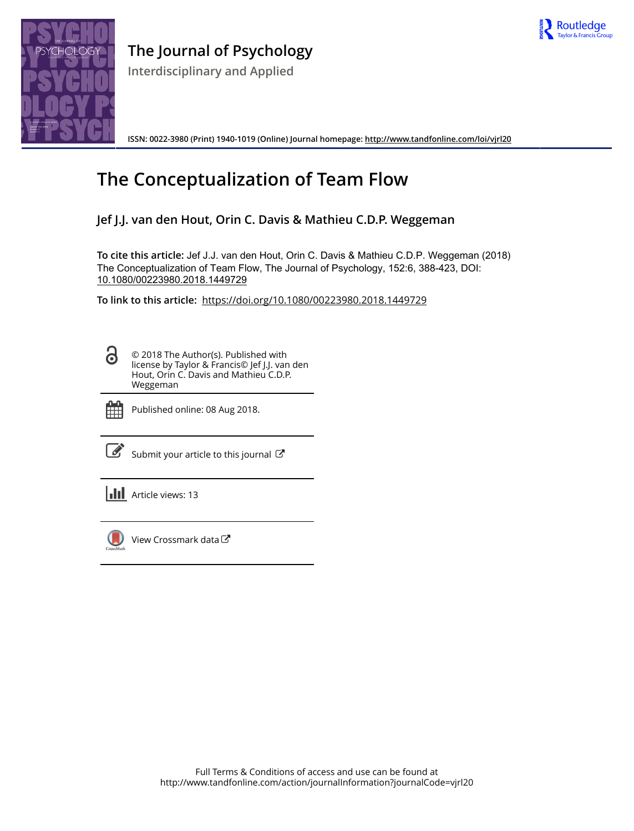



**ISSN: 0022-3980 (Print) 1940-1019 (Online) Journal homepage:<http://www.tandfonline.com/loi/vjrl20>**

# **The Conceptualization of Team Flow**

# **Jef J.J. van den Hout, Orin C. Davis & Mathieu C.D.P. Weggeman**

**To cite this article:** Jef J.J. van den Hout, Orin C. Davis & Mathieu C.D.P. Weggeman (2018) The Conceptualization of Team Flow, The Journal of Psychology, 152:6, 388-423, DOI: [10.1080/00223980.2018.1449729](http://www.tandfonline.com/action/showCitFormats?doi=10.1080/00223980.2018.1449729)

**To link to this article:** <https://doi.org/10.1080/00223980.2018.1449729>

© 2018 The Author(s). Published with license by Taylor & Francis© Jef J.J. van den Hout, Orin C. Davis and Mathieu C.D.P. Weggeman



3

Published online: 08 Aug 2018.

[Submit your article to this journal](http://www.tandfonline.com/action/authorSubmission?journalCode=vjrl20&show=instructions)  $\mathbb{Z}$ 

**III** Article views: 13



[View Crossmark data](http://crossmark.crossref.org/dialog/?doi=10.1080/00223980.2018.1449729&domain=pdf&date_stamp=2018-08-08)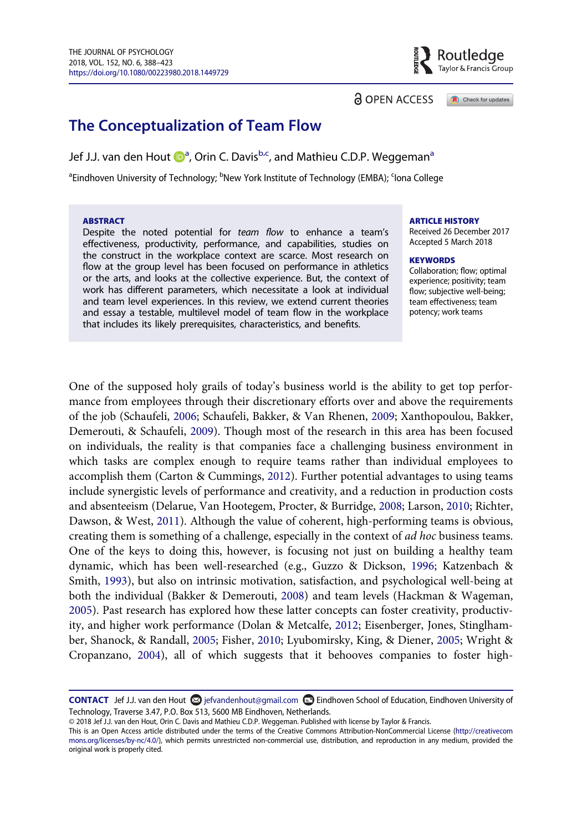**a** OPEN ACCESS

Check for updates

Routledge Taylor & Francis Group

# The Conceptualization of Team Flow

Jef J.J. v[a](#page-1-0)n den Hout  $\mathbf{D}^{\mathsf{a}},$  Orin C. Davis<sup>[b,c](#page-1-0)</sup>, and Mathieu C.D.P. Weggeman<sup>a</sup>

<span id="page-1-0"></span><sup>a</sup>Eindhoven University of Technology; <sup>b</sup>New York Institute of Technology (EMBA); <sup>c</sup>lona College

#### **ABSTRACT**

Despite the noted potential for team flow to enhance a team's effectiveness, productivity, performance, and capabilities, studies on the construct in the workplace context are scarce. Most research on flow at the group level has been focused on performance in athletics or the arts, and looks at the collective experience. But, the context of work has different parameters, which necessitate a look at individual and team level experiences. In this review, we extend current theories and essay a testable, multilevel model of team flow in the workplace that includes its likely prerequisites, characteristics, and benefits.

#### ARTICLE HISTORY

Received 26 December 2017 Accepted 5 March 2018

#### **KEYWORDS**

Collaboration; flow; optimal experience; positivity; team flow; subjective well-being; team effectiveness; team potency; work teams

<span id="page-1-11"></span><span id="page-1-9"></span><span id="page-1-8"></span><span id="page-1-3"></span><span id="page-1-2"></span>One of the supposed holy grails of today's business world is the ability to get top performance from employees through their discretionary efforts over and above the requirements of the job (Schaufeli, [2006](#page-35-0); Schaufeli, Bakker, & Van Rhenen, [2009;](#page-35-1) Xanthopoulou, Bakker, Demerouti, & Schaufeli, [2009\)](#page-36-0). Though most of the research in this area has been focused on individuals, the reality is that companies face a challenging business environment in which tasks are complex enough to require teams rather than individual employees to accomplish them (Carton & Cummings, [2012\)](#page-30-0). Further potential advantages to using teams include synergistic levels of performance and creativity, and a reduction in production costs and absenteeism (Delarue, Van Hootegem, Procter, & Burridge, [2008](#page-31-0); Larson, [2010;](#page-33-0) Richter, Dawson, & West, [2011\)](#page-34-0). Although the value of coherent, high-performing teams is obvious, creating them is something of a challenge, especially in the context of *ad hoc* business teams. One of the keys to doing this, however, is focusing not just on building a healthy team dynamic, which has been well-researched (e.g., Guzzo & Dickson, [1996;](#page-32-0) Katzenbach & Smith, [1993](#page-32-1)), but also on intrinsic motivation, satisfaction, and psychological well-being at both the individual (Bakker & Demerouti, [2008](#page-30-1)) and team levels (Hackman & Wageman, [2005\)](#page-32-2). Past research has explored how these latter concepts can foster creativity, productivity, and higher work performance (Dolan & Metcalfe, [2012](#page-31-1); Eisenberger, Jones, Stinglhamber, Shanock, & Randall, [2005;](#page-31-2) Fisher, [2010](#page-31-3); Lyubomirsky, King, & Diener, [2005](#page-33-1); Wright & Cropanzano, [2004](#page-36-1)), all of which suggests that it behooves companies to foster high-

<span id="page-1-10"></span><span id="page-1-7"></span><span id="page-1-6"></span><span id="page-1-5"></span><span id="page-1-4"></span><span id="page-1-1"></span>CONTACT Jef J.J. van den Hout @ [jefvandenhout@gmail.com](mailto:jefvandenhout@gmail.com) Die Eindhoven School of Education, Eindhoven University of Technology, Traverse 3.47, P.O. Box 513, 5600 MB Eindhoven, Netherlands.

© 2018 Jef J.J. van den Hout, Orin C. Davis and Mathieu C.D.P. Weggeman. Published with license by Taylor & Francis.

This is an Open Access article distributed under the terms of the Creative Commons Attribution-NonCommercial License ([http://creativecom](http://creativecommons.org/licenses/by-nc/4.0/) [mons.org/licenses/by-nc/4.0/](http://creativecommons.org/licenses/by-nc/4.0/)), which permits unrestricted non-commercial use, distribution, and reproduction in any medium, provided the original work is properly cited.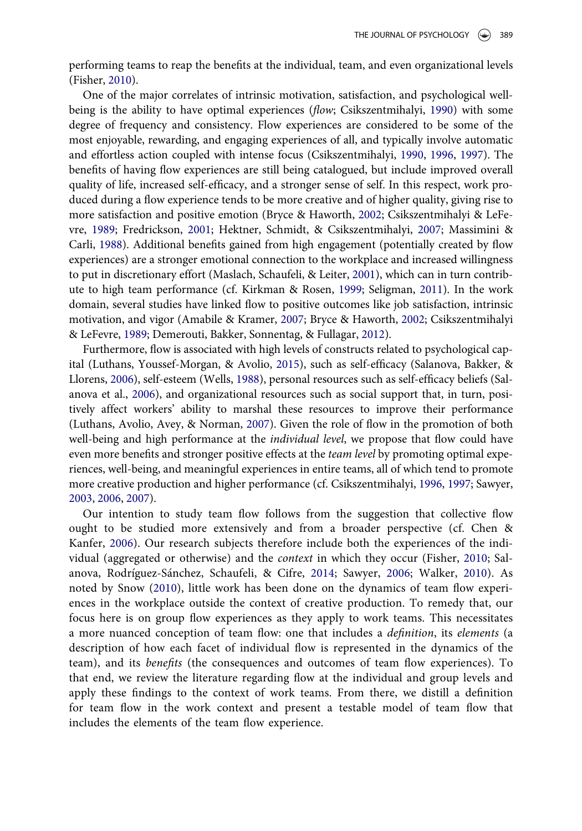performing teams to reap the benefits at the individual, team, and even organizational levels (Fisher, [2010\)](#page-31-3).

<span id="page-2-2"></span>One of the major correlates of intrinsic motivation, satisfaction, and psychological wellbeing is the ability to have optimal experiences (*flow*; Csikszentmihalyi, [1990](#page-30-2)) with some degree of frequency and consistency. Flow experiences are considered to be some of the most enjoyable, rewarding, and engaging experiences of all, and typically involve automatic and effortless action coupled with intense focus (Csikszentmihalyi, [1990,](#page-30-2) [1996,](#page-30-3) [1997\)](#page-31-4). The benefits of having flow experiences are still being catalogued, but include improved overall quality of life, increased self-efficacy, and a stronger sense of self. In this respect, work produced during a flow experience tends to be more creative and of higher quality, giving rise to more satisfaction and positive emotion (Bryce & Haworth, [2002](#page-30-4); Csikszentmihalyi & LeFevre, [1989](#page-31-5); Fredrickson, [2001;](#page-31-6) Hektner, Schmidt, & Csikszentmihalyi, [2007;](#page-32-3) Massimini & Carli, [1988\)](#page-33-2). Additional benefits gained from high engagement (potentially created by flow experiences) are a stronger emotional connection to the workplace and increased willingness to put in discretionary effort (Maslach, Schaufeli, & Leiter, [2001](#page-33-3)), which can in turn contribute to high team performance (cf. Kirkman & Rosen, [1999](#page-32-4); Seligman, [2011\)](#page-35-2). In the work domain, several studies have linked flow to positive outcomes like job satisfaction, intrinsic motivation, and vigor (Amabile & Kramer, [2007](#page-29-0); Bryce & Haworth, [2002;](#page-30-4) Csikszentmihalyi & LeFevre, [1989](#page-31-5); Demerouti, Bakker, Sonnentag, & Fullagar, [2012](#page-31-7)).

<span id="page-2-15"></span><span id="page-2-11"></span><span id="page-2-10"></span><span id="page-2-9"></span><span id="page-2-8"></span><span id="page-2-7"></span><span id="page-2-6"></span><span id="page-2-5"></span><span id="page-2-4"></span><span id="page-2-0"></span>Furthermore, flow is associated with high levels of constructs related to psychological capital (Luthans, Youssef-Morgan, & Avolio, [2015](#page-33-4)), such as self-efficacy (Salanova, Bakker, & Llorens, [2006\)](#page-35-3), self-esteem (Wells, [1988\)](#page-36-2), personal resources such as self-efficacy beliefs (Salanova et al., [2006](#page-35-3)), and organizational resources such as social support that, in turn, positively affect workers' ability to marshal these resources to improve their performance (Luthans, Avolio, Avey, & Norman, [2007](#page-33-5)). Given the role of flow in the promotion of both well-being and high performance at the *individual level*, we propose that flow could have even more benefits and stronger positive effects at the team level by promoting optimal experiences, well-being, and meaningful experiences in entire teams, all of which tend to promote more creative production and higher performance (cf. Csikszentmihalyi, [1996,](#page-30-3) [1997;](#page-31-4) Sawyer, [2003,](#page-35-4) [2006,](#page-35-5) [2007](#page-35-6)).

<span id="page-2-14"></span><span id="page-2-13"></span><span id="page-2-12"></span><span id="page-2-3"></span><span id="page-2-1"></span>Our intention to study team flow follows from the suggestion that collective flow ought to be studied more extensively and from a broader perspective (cf. Chen & Kanfer, [2006](#page-30-5)). Our research subjects therefore include both the experiences of the individual (aggregated or otherwise) and the context in which they occur (Fisher, [2010](#page-31-3); Sal-anova, Rodríguez-Sánchez, Schaufeli, & Cifre, [2014;](#page-35-7) Sawyer, [2006](#page-35-5); Walker, [2010\)](#page-36-3). As noted by Snow ([2010](#page-35-8)), little work has been done on the dynamics of team flow experiences in the workplace outside the context of creative production. To remedy that, our focus here is on group flow experiences as they apply to work teams. This necessitates a more nuanced conception of team flow: one that includes a definition, its elements (a description of how each facet of individual flow is represented in the dynamics of the team), and its benefits (the consequences and outcomes of team flow experiences). To that end, we review the literature regarding flow at the individual and group levels and apply these findings to the context of work teams. From there, we distill a definition for team flow in the work context and present a testable model of team flow that includes the elements of the team flow experience.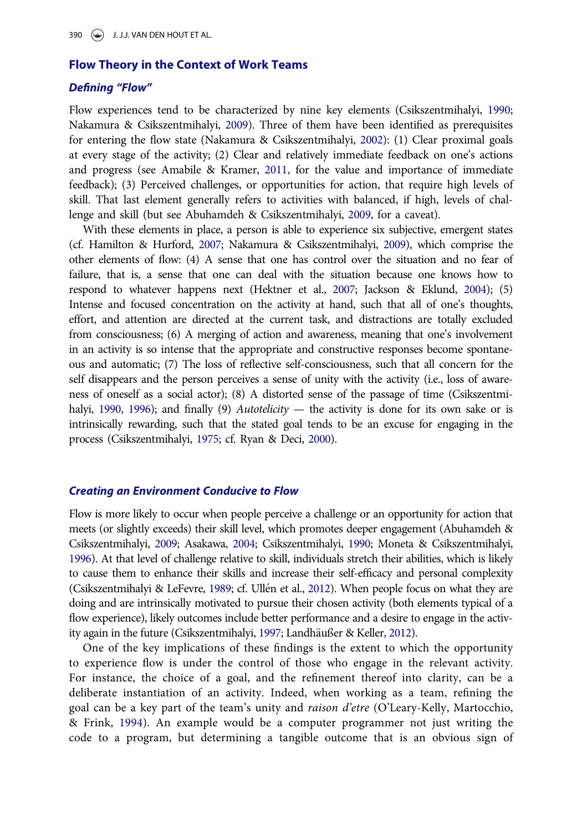#### Flow Theory in the Context of Work Teams

#### Defining "Flow"

<span id="page-3-6"></span><span id="page-3-1"></span>Flow experiences tend to be characterized by nine key elements (Csikszentmihalyi, [1990;](#page-30-2) Nakamura & Csikszentmihalyi, [2009\)](#page-34-1). Three of them have been identified as prerequisites for entering the flow state (Nakamura & Csikszentmihalyi, [2002\)](#page-34-2): (1) Clear proximal goals at every stage of the activity; (2) Clear and relatively immediate feedback on one's actions and progress (see Amabile & Kramer, [2011,](#page-29-1) for the value and importance of immediate feedback); (3) Perceived challenges, or opportunities for action, that require high levels of skill. That last element generally refers to activities with balanced, if high, levels of challenge and skill (but see Abuhamdeh & Csikszentmihalyi, [2009](#page-29-2), for a caveat).

<span id="page-3-4"></span><span id="page-3-3"></span>With these elements in place, a person is able to experience six subjective, emergent states (cf. Hamilton & Hurford, [2007](#page-32-5); Nakamura & Csikszentmihalyi, [2009](#page-34-1)), which comprise the other elements of flow: (4) A sense that one has control over the situation and no fear of failure, that is, a sense that one can deal with the situation because one knows how to respond to whatever happens next (Hektner et al., [2007](#page-32-3); Jackson & Eklund, [2004](#page-32-6)); (5) Intense and focused concentration on the activity at hand, such that all of one's thoughts, effort, and attention are directed at the current task, and distractions are totally excluded from consciousness; (6) A merging of action and awareness, meaning that one's involvement in an activity is so intense that the appropriate and constructive responses become spontaneous and automatic; (7) The loss of reflective self-consciousness, such that all concern for the self disappears and the person perceives a sense of unity with the activity (i.e., loss of awareness of oneself as a social actor); (8) A distorted sense of the passage of time (Csikszentmi-halyi, [1990,](#page-30-2) [1996](#page-30-3)); and finally (9)  $\Delta u$  *Autotelicity* — the activity is done for its own sake or is intrinsically rewarding, such that the stated goal tends to be an excuse for engaging in the process (Csikszentmihalyi, [1975](#page-30-6); cf. Ryan & Deci, [2000](#page-34-3)).

#### <span id="page-3-2"></span>Creating an Environment Conducive to Flow

<span id="page-3-0"></span>Flow is more likely to occur when people perceive a challenge or an opportunity for action that meets (or slightly exceeds) their skill level, which promotes deeper engagement (Abuhamdeh & Csikszentmihalyi, [2009](#page-29-2); Asakawa, [2004;](#page-29-3) Csikszentmihalyi, [1990;](#page-30-2) Moneta & Csikszentmihalyi, [1996\)](#page-34-4). At that level of challenge relative to skill, individuals stretch their abilities, which is likely to cause them to enhance their skills and increase their self-efficacy and personal complexity (Csikszentmihalyi & LeFevre, [1989](#page-31-5); cf. Ullén et al., [2012\)](#page-36-4). When people focus on what they are doing and are intrinsically motivated to pursue their chosen activity (both elements typical of a flow experience), likely outcomes include better performance and a desire to engage in the activ-ity again in the future (Csikszentmihalyi, [1997](#page-31-4); Landhäußer & Keller, [2012](#page-33-6)).

<span id="page-3-8"></span><span id="page-3-7"></span><span id="page-3-5"></span>One of the key implications of these findings is the extent to which the opportunity to experience flow is under the control of those who engage in the relevant activity. For instance, the choice of a goal, and the refinement thereof into clarity, can be a deliberate instantiation of an activity. Indeed, when working as a team, refining the goal can be a key part of the team's unity and raison d'etre (O'Leary-Kelly, Martocchio, & Frink, [1994\)](#page-34-5). An example would be a computer programmer not just writing the code to a program, but determining a tangible outcome that is an obvious sign of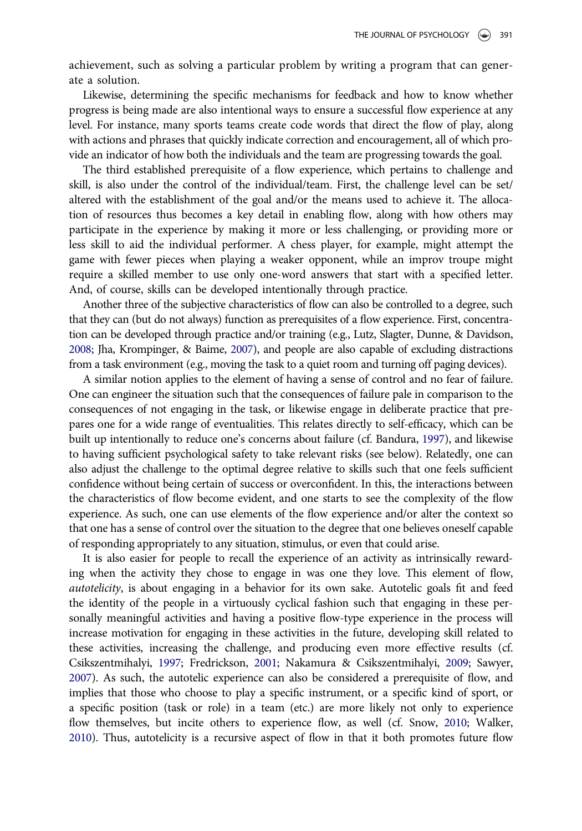achievement, such as solving a particular problem by writing a program that can generate a solution.

Likewise, determining the specific mechanisms for feedback and how to know whether progress is being made are also intentional ways to ensure a successful flow experience at any level. For instance, many sports teams create code words that direct the flow of play, along with actions and phrases that quickly indicate correction and encouragement, all of which provide an indicator of how both the individuals and the team are progressing towards the goal.

The third established prerequisite of a flow experience, which pertains to challenge and skill, is also under the control of the individual/team. First, the challenge level can be set/ altered with the establishment of the goal and/or the means used to achieve it. The allocation of resources thus becomes a key detail in enabling flow, along with how others may participate in the experience by making it more or less challenging, or providing more or less skill to aid the individual performer. A chess player, for example, might attempt the game with fewer pieces when playing a weaker opponent, while an improv troupe might require a skilled member to use only one-word answers that start with a specified letter. And, of course, skills can be developed intentionally through practice.

<span id="page-4-2"></span>Another three of the subjective characteristics of flow can also be controlled to a degree, such that they can (but do not always) function as prerequisites of a flow experience. First, concentration can be developed through practice and/or training (e.g., Lutz, Slagter, Dunne, & Davidson, [2008;](#page-33-7) Jha, Krompinger, & Baime, [2007](#page-32-7)), and people are also capable of excluding distractions from a task environment (e.g., moving the task to a quiet room and turning off paging devices).

<span id="page-4-1"></span><span id="page-4-0"></span>A similar notion applies to the element of having a sense of control and no fear of failure. One can engineer the situation such that the consequences of failure pale in comparison to the consequences of not engaging in the task, or likewise engage in deliberate practice that prepares one for a wide range of eventualities. This relates directly to self-efficacy, which can be built up intentionally to reduce one's concerns about failure (cf. Bandura, [1997](#page-30-7)), and likewise to having sufficient psychological safety to take relevant risks (see below). Relatedly, one can also adjust the challenge to the optimal degree relative to skills such that one feels sufficient confidence without being certain of success or overconfident. In this, the interactions between the characteristics of flow become evident, and one starts to see the complexity of the flow experience. As such, one can use elements of the flow experience and/or alter the context so that one has a sense of control over the situation to the degree that one believes oneself capable of responding appropriately to any situation, stimulus, or even that could arise.

It is also easier for people to recall the experience of an activity as intrinsically rewarding when the activity they chose to engage in was one they love. This element of flow, autotelicity, is about engaging in a behavior for its own sake. Autotelic goals fit and feed the identity of the people in a virtuously cyclical fashion such that engaging in these personally meaningful activities and having a positive flow-type experience in the process will increase motivation for engaging in these activities in the future, developing skill related to these activities, increasing the challenge, and producing even more effective results (cf. Csikszentmihalyi, [1997;](#page-31-4) Fredrickson, [2001;](#page-31-6) Nakamura & Csikszentmihalyi, [2009;](#page-34-1) Sawyer, [2007](#page-35-6)). As such, the autotelic experience can also be considered a prerequisite of flow, and implies that those who choose to play a specific instrument, or a specific kind of sport, or a specific position (task or role) in a team (etc.) are more likely not only to experience flow themselves, but incite others to experience flow, as well (cf. Snow, [2010](#page-35-8); Walker, [2010](#page-36-3)). Thus, autotelicity is a recursive aspect of flow in that it both promotes future flow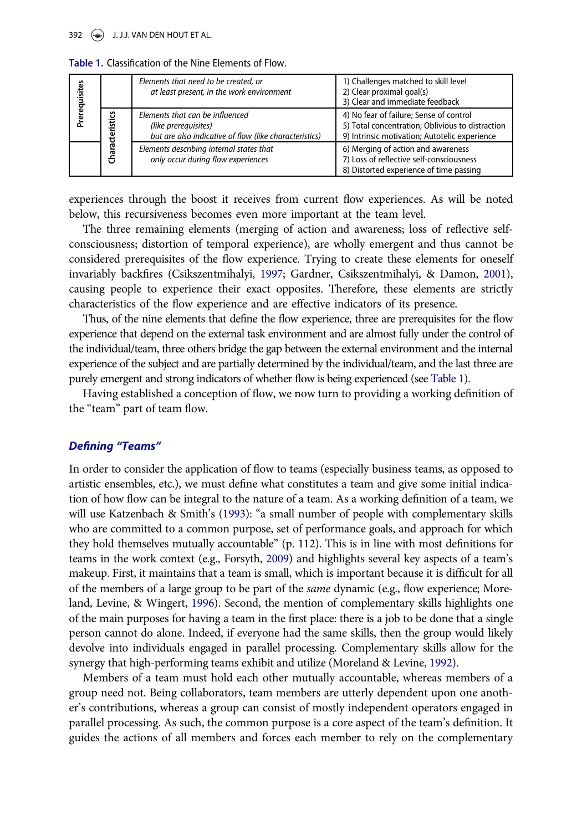| rerequisites |            | Elements that need to be created, or<br>at least present, in the work environment                                 | 1) Challenges matched to skill level<br>2) Clear proximal goal(s)<br>3) Clear and immediate feedback                                         |
|--------------|------------|-------------------------------------------------------------------------------------------------------------------|----------------------------------------------------------------------------------------------------------------------------------------------|
|              | cteristics | Elements that can be influenced<br>(like prerequisites)<br>but are also indicative of flow (like characteristics) | 4) No fear of failure; Sense of control<br>5) Total concentration; Oblivious to distraction<br>9) Intrinsic motivation; Autotelic experience |
|              | Chara      | Elements describing internal states that<br>only occur during flow experiences                                    | 6) Merging of action and awareness<br>7) Loss of reflective self-consciousness<br>8) Distorted experience of time passing                    |

<span id="page-5-0"></span>Table 1. Classification of the Nine Elements of Flow.

experiences through the boost it receives from current flow experiences. As will be noted below, this recursiveness becomes even more important at the team level.

<span id="page-5-2"></span>The three remaining elements (merging of action and awareness; loss of reflective selfconsciousness; distortion of temporal experience), are wholly emergent and thus cannot be considered prerequisites of the flow experience. Trying to create these elements for oneself invariably backfires (Csikszentmihalyi, [1997;](#page-31-4) Gardner, Csikszentmihalyi, & Damon, [2001](#page-31-8)), causing people to experience their exact opposites. Therefore, these elements are strictly characteristics of the flow experience and are effective indicators of its presence.

Thus, of the nine elements that define the flow experience, three are prerequisites for the flow experience that depend on the external task environment and are almost fully under the control of the individual/team, three others bridge the gap between the external environment and the internal experience of the subject and are partially determined by the individual/team, and the last three are purely emergent and strong indicators of whether flow is being experienced (see [Table 1\)](#page-5-0).

Having established a conception of flow, we now turn to providing a working definition of the "team" part of team flow.

### Defining "Teams"

<span id="page-5-1"></span>In order to consider the application of flow to teams (especially business teams, as opposed to artistic ensembles, etc.), we must define what constitutes a team and give some initial indication of how flow can be integral to the nature of a team. As a working definition of a team, we will use Katzenbach & Smith's [\(1993\)](#page-32-1): "a small number of people with complementary skills who are committed to a common purpose, set of performance goals, and approach for which they hold themselves mutually accountable" (p. 112). This is in line with most definitions for teams in the work context (e.g., Forsyth, [2009](#page-31-9)) and highlights several key aspects of a team's makeup. First, it maintains that a team is small, which is important because it is difficult for all of the members of a large group to be part of the same dynamic (e.g., flow experience; Moreland, Levine, & Wingert, [1996](#page-34-6)). Second, the mention of complementary skills highlights one of the main purposes for having a team in the first place: there is a job to be done that a single person cannot do alone. Indeed, if everyone had the same skills, then the group would likely devolve into individuals engaged in parallel processing. Complementary skills allow for the synergy that high-performing teams exhibit and utilize (Moreland & Levine, [1992](#page-34-7)).

<span id="page-5-4"></span><span id="page-5-3"></span>Members of a team must hold each other mutually accountable, whereas members of a group need not. Being collaborators, team members are utterly dependent upon one another's contributions, whereas a group can consist of mostly independent operators engaged in parallel processing. As such, the common purpose is a core aspect of the team's definition. It guides the actions of all members and forces each member to rely on the complementary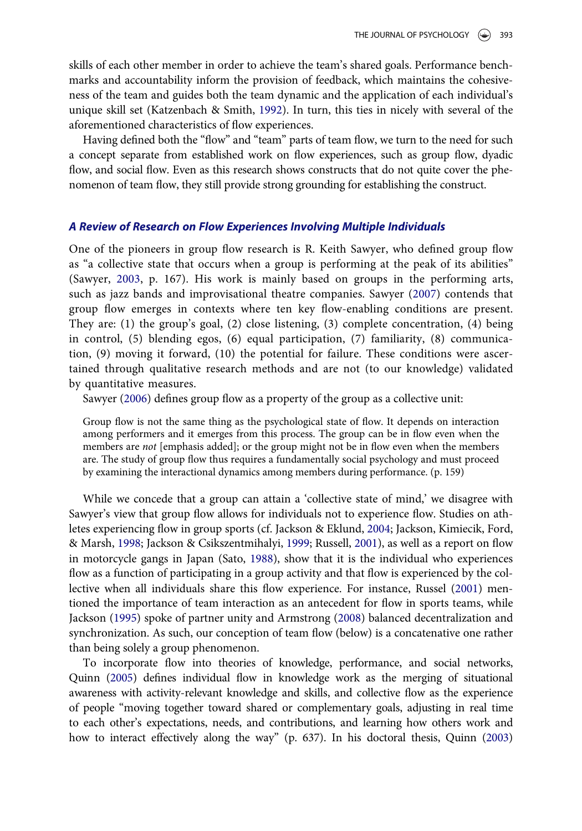skills of each other member in order to achieve the team's shared goals. Performance benchmarks and accountability inform the provision of feedback, which maintains the cohesiveness of the team and guides both the team dynamic and the application of each individual's unique skill set (Katzenbach & Smith, [1992](#page-32-8)). In turn, this ties in nicely with several of the aforementioned characteristics of flow experiences.

<span id="page-6-2"></span>Having defined both the "flow" and "team" parts of team flow, we turn to the need for such a concept separate from established work on flow experiences, such as group flow, dyadic flow, and social flow. Even as this research shows constructs that do not quite cover the phenomenon of team flow, they still provide strong grounding for establishing the construct.

#### A Review of Research on Flow Experiences Involving Multiple Individuals

One of the pioneers in group flow research is R. Keith Sawyer, who defined group flow as "a collective state that occurs when a group is performing at the peak of its abilities" (Sawyer, [2003](#page-35-4), p. 167). His work is mainly based on groups in the performing arts, such as jazz bands and improvisational theatre companies. Sawyer [\(2007\)](#page-35-6) contends that group flow emerges in contexts where ten key flow-enabling conditions are present. They are: (1) the group's goal, (2) close listening, (3) complete concentration, (4) being in control, (5) blending egos, (6) equal participation, (7) familiarity, (8) communication, (9) moving it forward, (10) the potential for failure. These conditions were ascertained through qualitative research methods and are not (to our knowledge) validated by quantitative measures.

Sawyer [\(2006](#page-35-5)) defines group flow as a property of the group as a collective unit:

Group flow is not the same thing as the psychological state of flow. It depends on interaction among performers and it emerges from this process. The group can be in flow even when the members are not [emphasis added]; or the group might not be in flow even when the members are. The study of group flow thus requires a fundamentally social psychology and must proceed by examining the interactional dynamics among members during performance. (p. 159)

<span id="page-6-6"></span><span id="page-6-1"></span>While we concede that a group can attain a 'collective state of mind,' we disagree with Sawyer's view that group flow allows for individuals not to experience flow. Studies on athletes experiencing flow in group sports (cf. Jackson & Eklund, [2004](#page-32-6); Jackson, Kimiecik, Ford, & Marsh, [1998;](#page-32-9) Jackson & Csikszentmihalyi, [1999;](#page-32-10) Russell, [2001](#page-34-8)), as well as a report on flow in motorcycle gangs in Japan (Sato, [1988\)](#page-35-9), show that it is the individual who experiences flow as a function of participating in a group activity and that flow is experienced by the collective when all individuals share this flow experience. For instance, Russel [\(2001](#page-34-8)) mentioned the importance of team interaction as an antecedent for flow in sports teams, while Jackson [\(1995](#page-32-11)) spoke of partner unity and Armstrong ([2008\)](#page-29-4) balanced decentralization and synchronization. As such, our conception of team flow (below) is a concatenative one rather than being solely a group phenomenon.

<span id="page-6-5"></span><span id="page-6-4"></span><span id="page-6-3"></span><span id="page-6-0"></span>To incorporate flow into theories of knowledge, performance, and social networks, Quinn [\(2005](#page-34-9)) defines individual flow in knowledge work as the merging of situational awareness with activity-relevant knowledge and skills, and collective flow as the experience of people "moving together toward shared or complementary goals, adjusting in real time to each other's expectations, needs, and contributions, and learning how others work and how to interact effectively along the way" (p. 637). In his doctoral thesis, Quinn [\(2003\)](#page-34-10)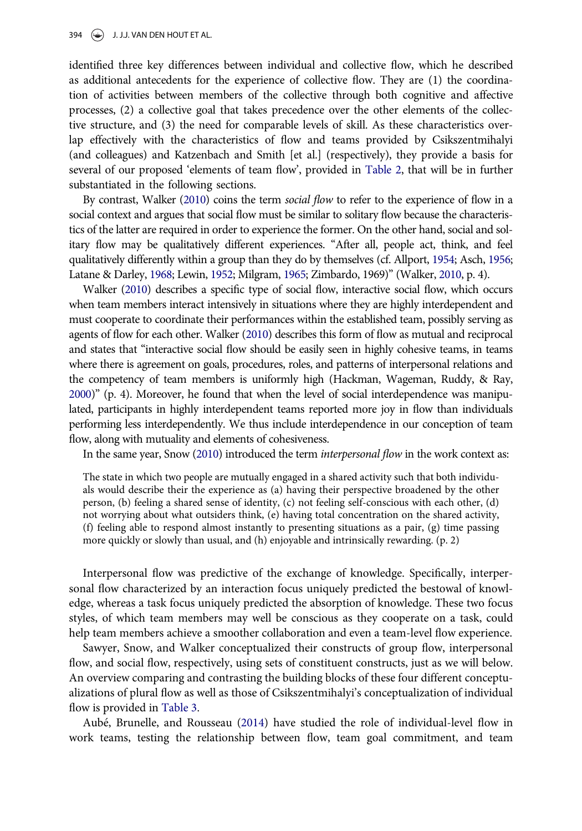394  $\left(\bigstar\right)$  J. J.J. VAN DEN HOUT ET AL.

identified three key differences between individual and collective flow, which he described as additional antecedents for the experience of collective flow. They are (1) the coordination of activities between members of the collective through both cognitive and affective processes, (2) a collective goal that takes precedence over the other elements of the collective structure, and (3) the need for comparable levels of skill. As these characteristics overlap effectively with the characteristics of flow and teams provided by Csikszentmihalyi (and colleagues) and Katzenbach and Smith [et al.] (respectively), they provide a basis for several of our proposed 'elements of team flow', provided in [Table 2](#page-8-0), that will be in further substantiated in the following sections.

By contrast, Walker [\(2010](#page-36-3)) coins the term social flow to refer to the experience of flow in a social context and argues that social flow must be similar to solitary flow because the characteristics of the latter are required in order to experience the former. On the other hand, social and solitary flow may be qualitatively different experiences. "After all, people act, think, and feel qualitatively differently within a group than they do by themselves (cf. Allport, [1954](#page-29-5); Asch, [1956;](#page-29-6) Latane & Darley, [1968;](#page-33-8) Lewin, [1952;](#page-33-9) Milgram, [1965;](#page-34-11) Zimbardo, 1969)" (Walker, [2010](#page-36-3), p. 4).

<span id="page-7-3"></span><span id="page-7-2"></span><span id="page-7-0"></span>Walker [\(2010](#page-36-3)) describes a specific type of social flow, interactive social flow, which occurs when team members interact intensively in situations where they are highly interdependent and must cooperate to coordinate their performances within the established team, possibly serving as agents of flow for each other. Walker [\(2010](#page-36-3)) describes this form of flow as mutual and reciprocal and states that "interactive social flow should be easily seen in highly cohesive teams, in teams where there is agreement on goals, procedures, roles, and patterns of interpersonal relations and the competency of team members is uniformly high (Hackman, Wageman, Ruddy, & Ray, [2000\)](#page-32-12)" (p. 4). Moreover, he found that when the level of social interdependence was manipulated, participants in highly interdependent teams reported more joy in flow than individuals performing less interdependently. We thus include interdependence in our conception of team flow, along with mutuality and elements of cohesiveness.

In the same year, Snow [\(2010](#page-35-8)) introduced the term interpersonal flow in the work context as:

The state in which two people are mutually engaged in a shared activity such that both individuals would describe their the experience as (a) having their perspective broadened by the other person, (b) feeling a shared sense of identity, (c) not feeling self-conscious with each other, (d) not worrying about what outsiders think, (e) having total concentration on the shared activity, (f) feeling able to respond almost instantly to presenting situations as a pair, (g) time passing more quickly or slowly than usual, and (h) enjoyable and intrinsically rewarding. (p. 2)

Interpersonal flow was predictive of the exchange of knowledge. Specifically, interpersonal flow characterized by an interaction focus uniquely predicted the bestowal of knowledge, whereas a task focus uniquely predicted the absorption of knowledge. These two focus styles, of which team members may well be conscious as they cooperate on a task, could help team members achieve a smoother collaboration and even a team-level flow experience.

Sawyer, Snow, and Walker conceptualized their constructs of group flow, interpersonal flow, and social flow, respectively, using sets of constituent constructs, just as we will below. An overview comparing and contrasting the building blocks of these four different conceptualizations of plural flow as well as those of Csikszentmihalyi's conceptualization of individual flow is provided in [Table 3.](#page-11-0)

<span id="page-7-1"></span>Aube, Brunelle, and Rousseau ([2014\)](#page-30-8) have studied the role of individual-level flow in work teams, testing the relationship between flow, team goal commitment, and team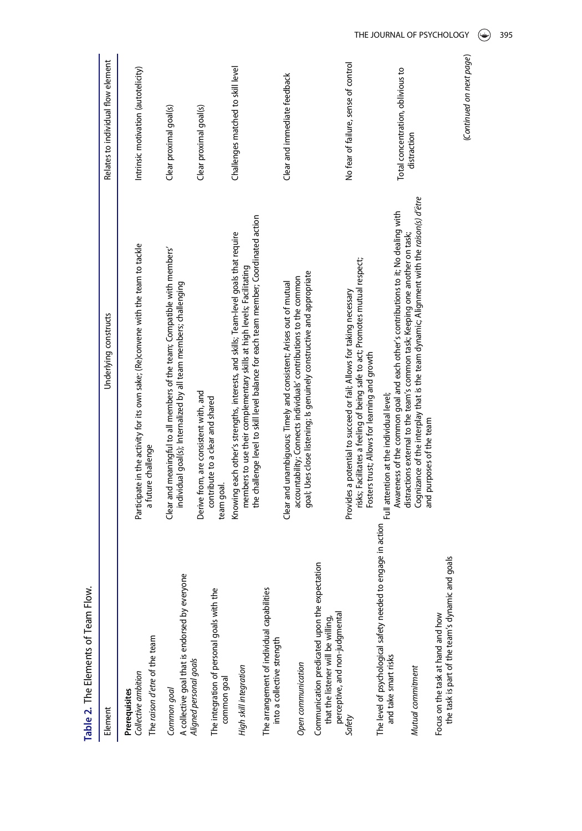<span id="page-8-0"></span>

| Table 2. The Elements of Team Flow.                                                                                   |                                                                                                                                                                                                                                                       |                                      |
|-----------------------------------------------------------------------------------------------------------------------|-------------------------------------------------------------------------------------------------------------------------------------------------------------------------------------------------------------------------------------------------------|--------------------------------------|
| Element                                                                                                               | Underlying constructs                                                                                                                                                                                                                                 | Relates to individual flow element   |
| The raison d'etre of the team<br>Collective ambition<br>Prerequisites                                                 | Participate in the activity for its own sake; (Re)convene with the team to tackle<br>a future challenge                                                                                                                                               | Intrinsic motivation (autotelicity)  |
| A collective goal that is endorsed by everyone<br>Common goal                                                         | Clear and meaningful to all members of the team; Compatible with members'<br>individual goal(s); Internalized by all team members; challenging                                                                                                        | Clear proximal goal(s)               |
| The integration of personal goals with the<br>Aligned personal goals<br>common goal                                   | Derive from, are consistent with, and<br>contribute to a clear and shared<br>team goal.                                                                                                                                                               | Clear proximal goal(s)               |
| High skill integration                                                                                                | the challenge level to skill level balance for each team member; Coordinated action<br>Knowing each other's strengths, interests, and skills; Team-level goals that require<br>members to use their complementary skills at high levels; Facilitating | Challenges matched to skill level    |
| The arrangement of individual capabilities<br>into a collective strength                                              |                                                                                                                                                                                                                                                       |                                      |
| Open communication                                                                                                    | goal; Uses close listening; Is genuinely constructive and appropriate<br>accountability; Connects individuals' contributions to the common<br>Clear and unambiguous; Timely and consistent; Arises out of mutual                                      | Clear and immediate feedback         |
| Communication predicated upon the expectation<br>perceptive, and non-judgmental<br>that the listener will be willing, |                                                                                                                                                                                                                                                       |                                      |
| Safety                                                                                                                | risks; Facilitates a feeling of being safe to act; Promotes mutual respect;<br>Provides a potential to succeed or fail; Allows for taking necessary<br>Fosters trust; Allows for learning and growth                                                  | No fear of failure, sense of control |
| The level of psychological safety needed to engage in action<br>and take smart risks                                  | Awareness of the common goal and each other's contributions to it; No dealing with<br>Full attention at the individual level;                                                                                                                         | Total concentration, oblivious to    |
| Mutual commitment                                                                                                     | Cognizance of the interplay that is the team dynamic; Alignment with the raison(s) d'être<br>distractions external to the team's common task; Keeping one another on task;<br>and purposes of the team                                                | distraction                          |
| the task is part of the team's dynamic and goals<br>Focus on the task at hand and how                                 |                                                                                                                                                                                                                                                       | (Continued on next page)             |
|                                                                                                                       |                                                                                                                                                                                                                                                       |                                      |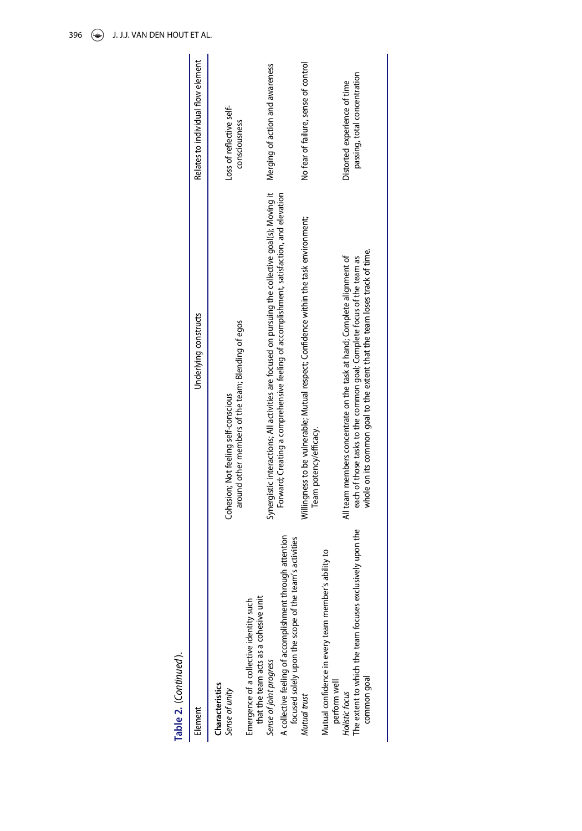| Table 2. (Continued).                                                                                                 |                                                                                                                                                                                                                               |                                                              |
|-----------------------------------------------------------------------------------------------------------------------|-------------------------------------------------------------------------------------------------------------------------------------------------------------------------------------------------------------------------------|--------------------------------------------------------------|
| Element                                                                                                               | Underlying constructs                                                                                                                                                                                                         | Relates to individual flow element                           |
| Characteristics<br>Sense of unity                                                                                     | around other members of the team; Blending of egos<br>Cohesion; Not feeling self-conscious                                                                                                                                    | Loss of reflective self-<br>consciousness                    |
| that the team acts as a cohesive unit<br>Emergence of a collective identity such<br>Sense of joint progress           | Synergistic interactions; All activities are focused on pursuing the collective goal(s); Moving it                                                                                                                            | Merging of action and awareness                              |
| A collective feeling of accomplishment through attention<br>activities<br>focused solely upon the scope of the team's | Forward; Creating a comprehensive feeling of accomplishment, satisfaction, and elevation                                                                                                                                      |                                                              |
| Mutual confidence in every team member's ability to<br>Mutual trust                                                   | Willingness to be vulnerable; Mutual respect; Confidence within the task environment;<br>Team potency/efficacy.                                                                                                               | No fear of failure, sense of control                         |
| The extent to which the team focuses exclusively upon the<br>common goal<br>perform well<br>Holistic focus            | whole on its common goal to the extent that the team loses track of time.<br>All team members concentrate on the task at hand; Complete alignment of<br>each of those tasks to the common goal; Complete focus of the team as | passing, total concentration<br>Distorted experience of time |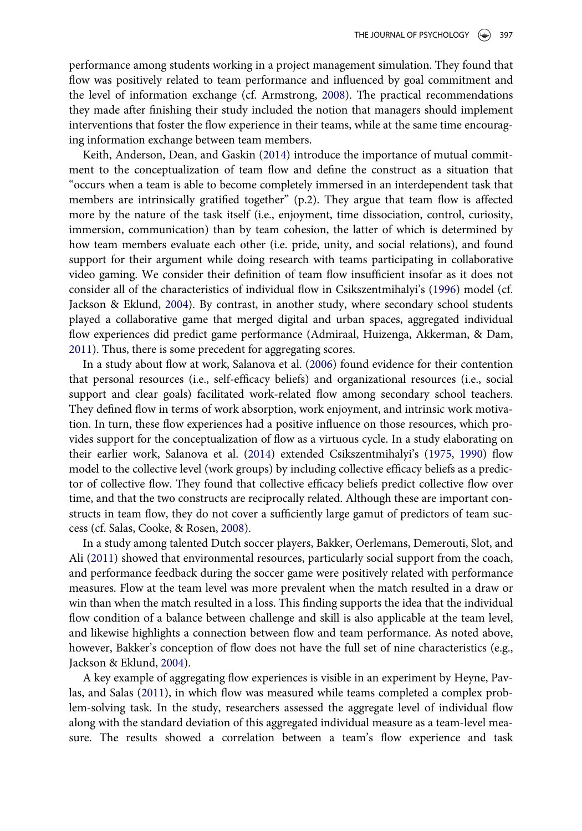performance among students working in a project management simulation. They found that flow was positively related to team performance and influenced by goal commitment and the level of information exchange (cf. Armstrong, [2008\)](#page-29-4). The practical recommendations they made after finishing their study included the notion that managers should implement interventions that foster the flow experience in their teams, while at the same time encouraging information exchange between team members.

<span id="page-10-3"></span>Keith, Anderson, Dean, and Gaskin ([2014\)](#page-32-13) introduce the importance of mutual commitment to the conceptualization of team flow and define the construct as a situation that "occurs when a team is able to become completely immersed in an interdependent task that members are intrinsically gratified together" (p.2). They argue that team flow is affected more by the nature of the task itself (i.e., enjoyment, time dissociation, control, curiosity, immersion, communication) than by team cohesion, the latter of which is determined by how team members evaluate each other (i.e. pride, unity, and social relations), and found support for their argument while doing research with teams participating in collaborative video gaming. We consider their definition of team flow insufficient insofar as it does not consider all of the characteristics of individual flow in Csikszentmihalyi's ([1996\)](#page-30-3) model (cf. Jackson & Eklund, [2004](#page-32-6)). By contrast, in another study, where secondary school students played a collaborative game that merged digital and urban spaces, aggregated individual flow experiences did predict game performance (Admiraal, Huizenga, Akkerman, & Dam, [2011\)](#page-29-7). Thus, there is some precedent for aggregating scores.

<span id="page-10-0"></span>In a study about flow at work, Salanova et al. ([2006](#page-35-3)) found evidence for their contention that personal resources (i.e., self-efficacy beliefs) and organizational resources (i.e., social support and clear goals) facilitated work-related flow among secondary school teachers. They defined flow in terms of work absorption, work enjoyment, and intrinsic work motivation. In turn, these flow experiences had a positive influence on those resources, which provides support for the conceptualization of flow as a virtuous cycle. In a study elaborating on their earlier work, Salanova et al. ([2014\)](#page-35-7) extended Csikszentmihalyi's [\(1975](#page-30-6), [1990](#page-30-2)) flow model to the collective level (work groups) by including collective efficacy beliefs as a predictor of collective flow. They found that collective efficacy beliefs predict collective flow over time, and that the two constructs are reciprocally related. Although these are important constructs in team flow, they do not cover a sufficiently large gamut of predictors of team success (cf. Salas, Cooke, & Rosen, [2008](#page-35-10)).

<span id="page-10-4"></span><span id="page-10-1"></span>In a study among talented Dutch soccer players, Bakker, Oerlemans, Demerouti, Slot, and Ali ([2011\)](#page-30-9) showed that environmental resources, particularly social support from the coach, and performance feedback during the soccer game were positively related with performance measures. Flow at the team level was more prevalent when the match resulted in a draw or win than when the match resulted in a loss. This finding supports the idea that the individual flow condition of a balance between challenge and skill is also applicable at the team level, and likewise highlights a connection between flow and team performance. As noted above, however, Bakker's conception of flow does not have the full set of nine characteristics (e.g., Jackson & Eklund, [2004](#page-32-6)).

<span id="page-10-2"></span>A key example of aggregating flow experiences is visible in an experiment by Heyne, Pavlas, and Salas [\(2011](#page-32-14)), in which flow was measured while teams completed a complex problem-solving task. In the study, researchers assessed the aggregate level of individual flow along with the standard deviation of this aggregated individual measure as a team-level measure. The results showed a correlation between a team's flow experience and task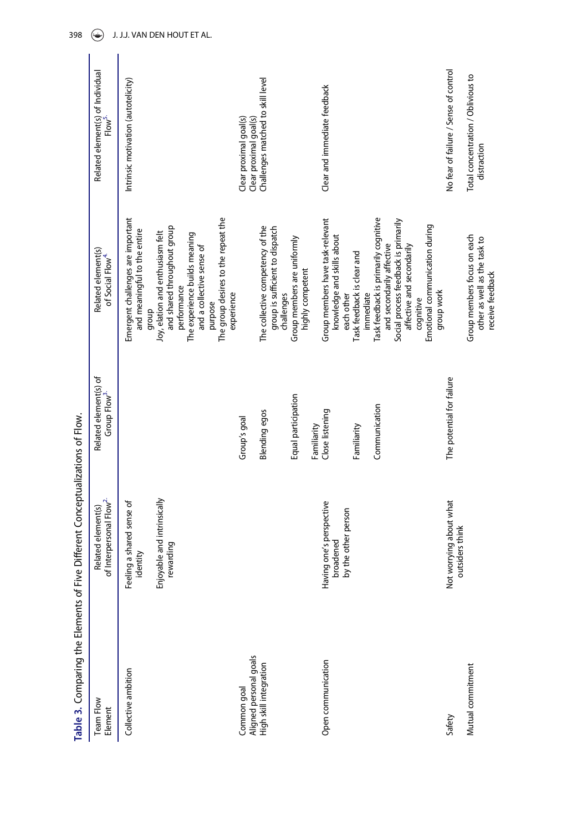| Table 3. Comparing the Elements of Five          | Different Conceptualizations of Flow.                        |                                                   |                                                                                         |                                                        |
|--------------------------------------------------|--------------------------------------------------------------|---------------------------------------------------|-----------------------------------------------------------------------------------------|--------------------------------------------------------|
| Team Flow<br>Element                             | of Interpersonal Flow <sup>2.</sup><br>Related element(s)    | Related element(s) of<br>Group Flow <sup>3.</sup> | Related element(s)<br>of Social Flow <sup>4.</sup>                                      | Related element(s) of Individual<br>Flow <sup>5.</sup> |
| Collective ambition                              | Feeling a shared sense of<br>identity                        |                                                   | Emergent challenges are important<br>and meaningful to the entire                       | Intrinsic motivation (autotelicity)                    |
|                                                  | Enjoyable and intrinsically<br>rewarding                     |                                                   | and shared throughout group<br>Joy, elation and enthusiasm felt<br>performance<br>quorb |                                                        |
|                                                  |                                                              |                                                   | The experience builds meaning<br>and a collective sense of                              |                                                        |
|                                                  |                                                              |                                                   | The group desires to the repeat the<br>experience<br>purpose                            |                                                        |
| Common goal                                      |                                                              | Group's goal                                      |                                                                                         | Clear proximal goal(s)<br>Clear proximal goal(s)       |
| Aligned personal goals<br>High skill integration |                                                              | <b>Blending</b> egos                              | The collective competency of the<br>group is sufficient to dispatch<br>challenges       | Challenges matched to skill level                      |
|                                                  |                                                              | Equal participation                               | Group members are uniformly<br>highly competent                                         |                                                        |
|                                                  |                                                              | Familiarity                                       |                                                                                         |                                                        |
| Open communication                               | Having one's perspective<br>by the other person<br>broadened | Close listening                                   | Group members have task-relevant<br>knowledge and skills about<br>each other            | Clear and immediate feedback                           |
|                                                  |                                                              | Familiarity                                       | Task feedback is clear and                                                              |                                                        |
|                                                  |                                                              | Communication                                     | Task feedback is primarily cognitive<br>and secondarily affective<br>immediate          |                                                        |
|                                                  |                                                              |                                                   | Social process feedback is primarily<br>affective and secondarily                       |                                                        |
|                                                  |                                                              |                                                   | Emotional communication during<br>cognitive                                             |                                                        |
| Safety                                           | Not worrying about what<br>outsiders think                   | The potential for failure                         | group work                                                                              | No fear of failure / Sense of control                  |
| Mutual commitment                                |                                                              |                                                   | Group members focus on each<br>other as well as the task to<br>receive feedback         | Total concentration / Oblivious to<br>distraction      |

<span id="page-11-0"></span>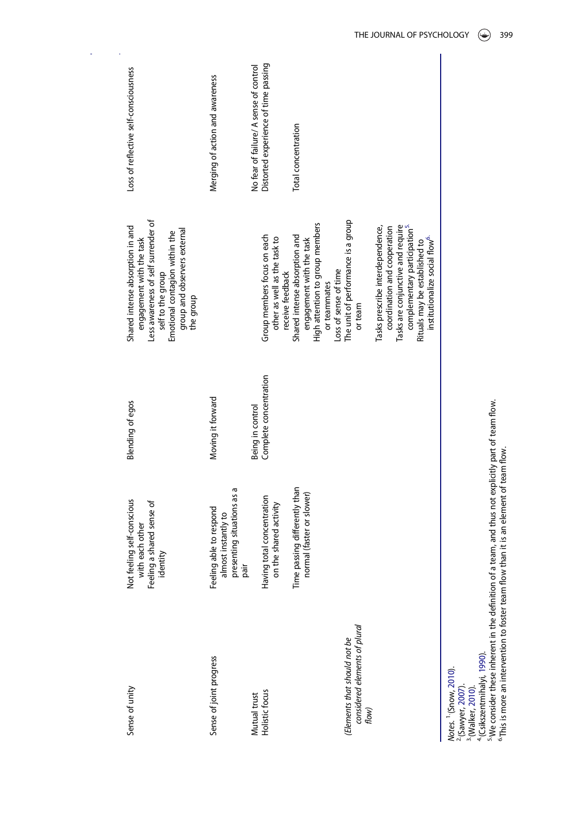<span id="page-12-4"></span><span id="page-12-3"></span><span id="page-12-2"></span><span id="page-12-1"></span><span id="page-12-0"></span>

| Sense of unity                                                                                                                                                                                                                                                                                                                                                     | Not feeling self-conscious<br>Feeling a shared sense of<br>with each other<br>identity | Blending of egos                           | Less awareness of self surrender of<br>Shared intense absorption in and<br>group and observers external<br>Emotional contagion within the<br>engagement with the task<br>self to the group<br>the group                           | Loss of reflective self-consciousness                                          |
|--------------------------------------------------------------------------------------------------------------------------------------------------------------------------------------------------------------------------------------------------------------------------------------------------------------------------------------------------------------------|----------------------------------------------------------------------------------------|--------------------------------------------|-----------------------------------------------------------------------------------------------------------------------------------------------------------------------------------------------------------------------------------|--------------------------------------------------------------------------------|
| Sense of joint progress                                                                                                                                                                                                                                                                                                                                            | presenting situations as a<br>pair<br>Feeling able to respond<br>almost instantly to   | Moving it forward                          |                                                                                                                                                                                                                                   | Merging of action and awareness                                                |
| Holistic focus<br>Mutual trust                                                                                                                                                                                                                                                                                                                                     | Having total concentration<br>on the shared activity                                   | Complete concentration<br>Being in control | Group members focus on each<br>other as well as the task to<br>receive feedback                                                                                                                                                   | Distorted experience of time passing<br>No fear of failure/ A sense of control |
| considered elements of plural<br>(Elements that should not be                                                                                                                                                                                                                                                                                                      | Time passing differently than<br>normal (faster or slower)                             |                                            | The unit of performance is a group<br>High attention to group members<br>Shared intense absorption and<br>engagement with the task<br>Loss of sense of time<br>or teammates<br>or team                                            | Total concentration                                                            |
| flow)                                                                                                                                                                                                                                                                                                                                                              |                                                                                        |                                            | Tasks are conjunctive and require<br>complementary participation <sup>5.</sup><br>Tasks prescribe interdependence,<br>coordination and cooperation<br>institutionalize social flow <sup>6.</sup><br>Rituals may be established to |                                                                                |
| <sup>5</sup> We consider these inherent in the definition of a team, and thus not explicitly part of team flow.<br><sup>6</sup> This is more an intervention to foster team flow than it is an element of team flow.<br><sup>4</sup> (Csikszentmihalyi, 1990).<br>Motes. <sup>1</sup> (Snow, 2010).<br><sup>2</sup> (Sawyer, 2007).<br><sup>3</sup> (Walker, 2010) |                                                                                        |                                            |                                                                                                                                                                                                                                   |                                                                                |

<sup>4.(</sup>Csikszentmihalyi, [1990\)](#page-30-2).

<sup>5.</sup>We consider these inherent in the definition of a team, and thus not explicitly part of team flow. 6.This is more an intervention to foster team flow than it is an element of team flow.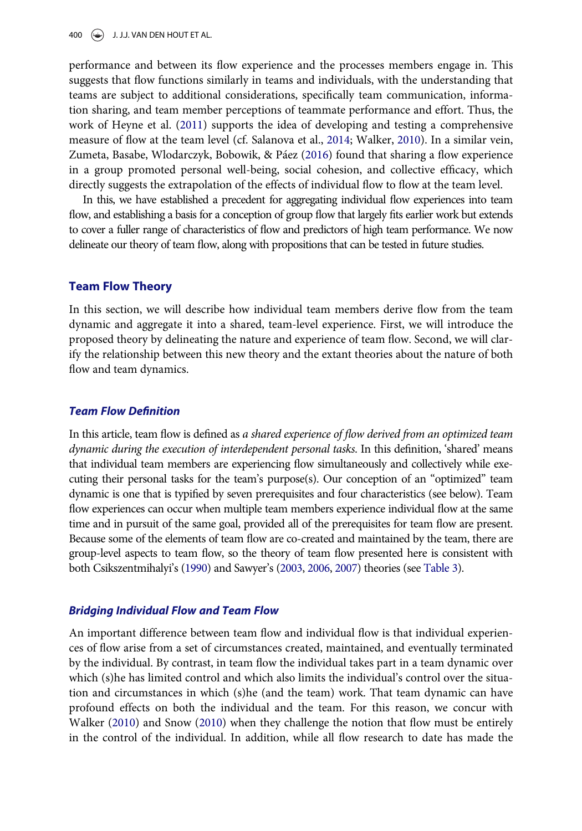400  $\left(\bigstar\right)$  J. J.J. VAN DEN HOUT ET AL.

performance and between its flow experience and the processes members engage in. This suggests that flow functions similarly in teams and individuals, with the understanding that teams are subject to additional considerations, specifically team communication, information sharing, and team member perceptions of teammate performance and effort. Thus, the work of Heyne et al. ([2011\)](#page-32-14) supports the idea of developing and testing a comprehensive measure of flow at the team level (cf. Salanova et al., [2014](#page-35-7); Walker, [2010](#page-36-3)). In a similar vein, Zumeta, Basabe, Wlodarczyk, Bobowik, & Paez [\(2016](#page-36-5)) found that sharing a flow experience in a group promoted personal well-being, social cohesion, and collective efficacy, which directly suggests the extrapolation of the effects of individual flow to flow at the team level.

<span id="page-13-0"></span>In this, we have established a precedent for aggregating individual flow experiences into team flow, and establishing a basis for a conception of group flow that largely fits earlier work but extends to cover a fuller range of characteristics of flow and predictors of high team performance. We now delineate our theory of team flow, along with propositions that can be tested in future studies.

#### Team Flow Theory

In this section, we will describe how individual team members derive flow from the team dynamic and aggregate it into a shared, team-level experience. First, we will introduce the proposed theory by delineating the nature and experience of team flow. Second, we will clarify the relationship between this new theory and the extant theories about the nature of both flow and team dynamics.

#### Team Flow Definition

In this article, team flow is defined as a shared experience of flow derived from an optimized team dynamic during the execution of interdependent personal tasks. In this definition, 'shared' means that individual team members are experiencing flow simultaneously and collectively while executing their personal tasks for the team's purpose(s). Our conception of an "optimized" team dynamic is one that is typified by seven prerequisites and four characteristics (see below). Team flow experiences can occur when multiple team members experience individual flow at the same time and in pursuit of the same goal, provided all of the prerequisites for team flow are present. Because some of the elements of team flow are co-created and maintained by the team, there are group-level aspects to team flow, so the theory of team flow presented here is consistent with both Csikszentmihalyi's [\(1990](#page-30-2)) and Sawyer's ([2003,](#page-35-4) [2006,](#page-35-5) [2007](#page-35-6)) theories (see [Table 3](#page-11-0)).

#### Bridging Individual Flow and Team Flow

An important difference between team flow and individual flow is that individual experiences of flow arise from a set of circumstances created, maintained, and eventually terminated by the individual. By contrast, in team flow the individual takes part in a team dynamic over which (s)he has limited control and which also limits the individual's control over the situation and circumstances in which (s)he (and the team) work. That team dynamic can have profound effects on both the individual and the team. For this reason, we concur with Walker [\(2010](#page-36-3)) and Snow [\(2010](#page-35-8)) when they challenge the notion that flow must be entirely in the control of the individual. In addition, while all flow research to date has made the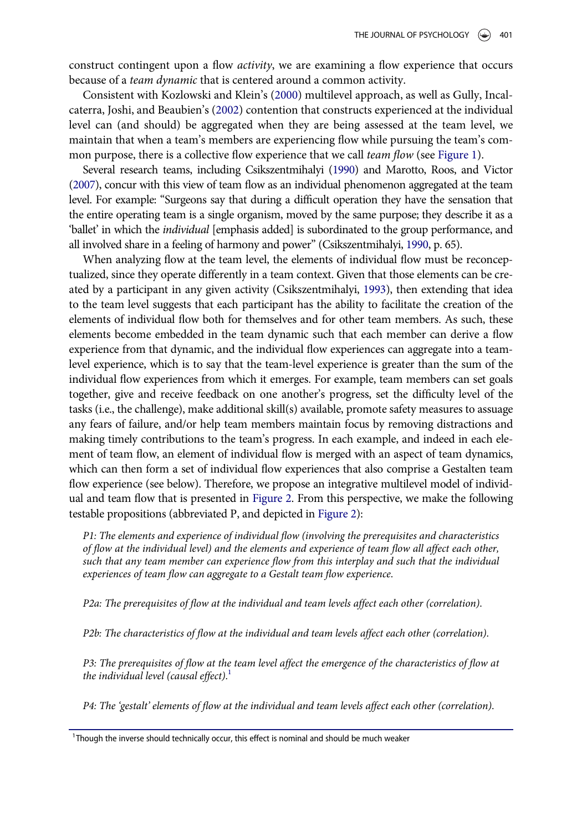construct contingent upon a flow *activity*, we are examining a flow experience that occurs because of a team dynamic that is centered around a common activity.

<span id="page-14-3"></span><span id="page-14-2"></span>Consistent with Kozlowski and Klein's ([2000\)](#page-33-10) multilevel approach, as well as Gully, Incalcaterra, Joshi, and Beaubien's ([2002\)](#page-32-15) contention that constructs experienced at the individual level can (and should) be aggregated when they are being assessed at the team level, we maintain that when a team's members are experiencing flow while pursuing the team's common purpose, there is a collective flow experience that we call *team flow* (see [Figure 1](#page-15-0)).

<span id="page-14-4"></span>Several research teams, including Csikszentmihalyi [\(1990](#page-30-2)) and Marotto, Roos, and Victor [\(2007](#page-33-11)), concur with this view of team flow as an individual phenomenon aggregated at the team level. For example: "Surgeons say that during a difficult operation they have the sensation that the entire operating team is a single organism, moved by the same purpose; they describe it as a 'ballet' in which the individual [emphasis added] is subordinated to the group performance, and all involved share in a feeling of harmony and power" (Csikszentmihalyi, [1990,](#page-30-2) p. 65).

<span id="page-14-1"></span>When analyzing flow at the team level, the elements of individual flow must be reconceptualized, since they operate differently in a team context. Given that those elements can be created by a participant in any given activity (Csikszentmihalyi, [1993](#page-30-10)), then extending that idea to the team level suggests that each participant has the ability to facilitate the creation of the elements of individual flow both for themselves and for other team members. As such, these elements become embedded in the team dynamic such that each member can derive a flow experience from that dynamic, and the individual flow experiences can aggregate into a teamlevel experience, which is to say that the team-level experience is greater than the sum of the individual flow experiences from which it emerges. For example, team members can set goals together, give and receive feedback on one another's progress, set the difficulty level of the tasks (i.e., the challenge), make additional skill(s) available, promote safety measures to assuage any fears of failure, and/or help team members maintain focus by removing distractions and making timely contributions to the team's progress. In each example, and indeed in each element of team flow, an element of individual flow is merged with an aspect of team dynamics, which can then form a set of individual flow experiences that also comprise a Gestalten team flow experience (see below). Therefore, we propose an integrative multilevel model of individual and team flow that is presented in [Figure 2](#page-15-1). From this perspective, we make the following testable propositions (abbreviated P, and depicted in [Figure 2\)](#page-15-1):

P1: The elements and experience of individual flow (involving the prerequisites and characteristics of flow at the individual level) and the elements and experience of team flow all affect each other, such that any team member can experience flow from this interplay and such that the individual experiences of team flow can aggregate to a Gestalt team flow experience.

P2a: The prerequisites of flow at the individual and team levels affect each other (correlation).

P2b: The characteristics of flow at the individual and team levels affect each other (correlation).

P3: The prerequisites of flow at the team level affect the emergence of the characteristics of flow at the individual level (causal effect). $^{\rm l}$ 

P4: The 'gestalt' elements of flow at the individual and team levels affect each other (correlation).

<span id="page-14-0"></span><sup>1</sup>Though the inverse should technically occur, this effect is nominal and should be much weaker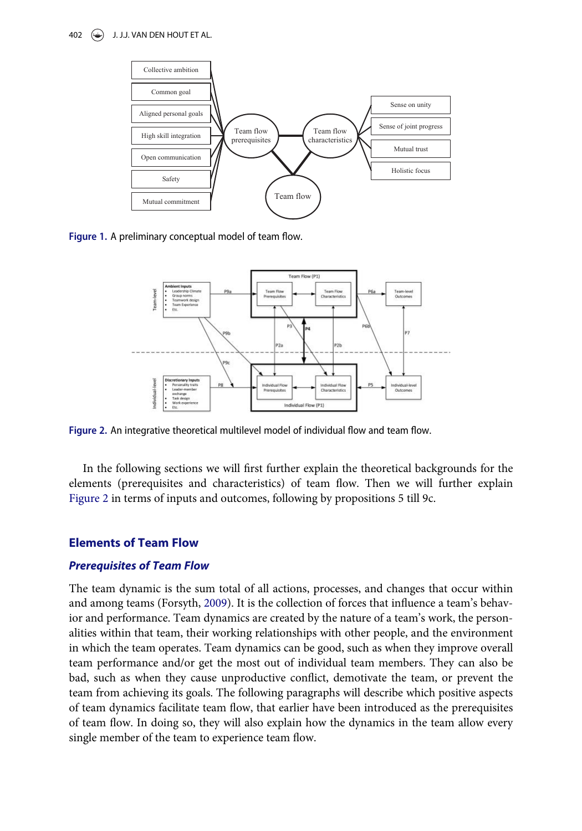#### <span id="page-15-0"></span>402  $\left(\bigstar\right)$  J. J.J. VAN DEN HOUT ET AL.



<span id="page-15-1"></span>Figure 1. A preliminary conceptual model of team flow.



Figure 2. An integrative theoretical multilevel model of individual flow and team flow.

In the following sections we will first further explain the theoretical backgrounds for the elements (prerequisites and characteristics) of team flow. Then we will further explain [Figure 2](#page-15-1) in terms of inputs and outcomes, following by propositions 5 till 9c.

## Elements of Team Flow

#### Prerequisites of Team Flow

The team dynamic is the sum total of all actions, processes, and changes that occur within and among teams (Forsyth, [2009\)](#page-31-9). It is the collection of forces that influence a team's behavior and performance. Team dynamics are created by the nature of a team's work, the personalities within that team, their working relationships with other people, and the environment in which the team operates. Team dynamics can be good, such as when they improve overall team performance and/or get the most out of individual team members. They can also be bad, such as when they cause unproductive conflict, demotivate the team, or prevent the team from achieving its goals. The following paragraphs will describe which positive aspects of team dynamics facilitate team flow, that earlier have been introduced as the prerequisites of team flow. In doing so, they will also explain how the dynamics in the team allow every single member of the team to experience team flow.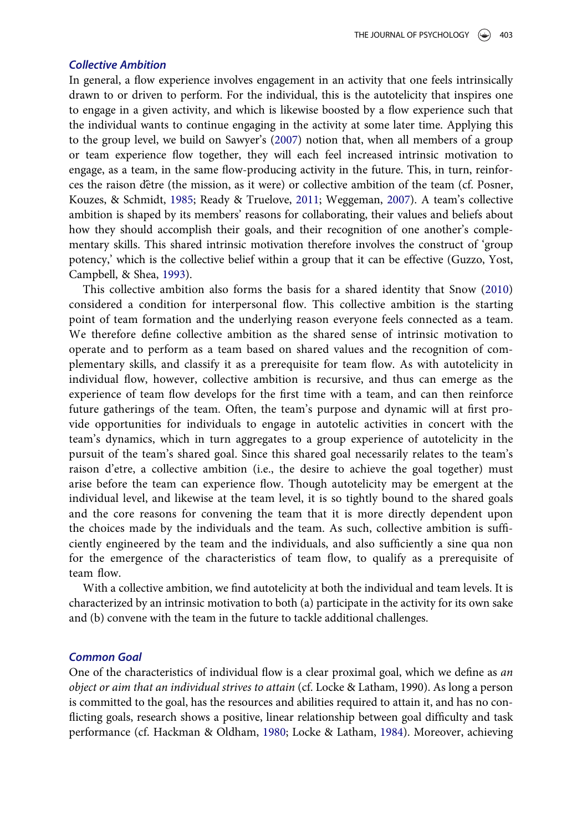#### Collective Ambition

In general, a flow experience involves engagement in an activity that one feels intrinsically drawn to or driven to perform. For the individual, this is the autotelicity that inspires one to engage in a given activity, and which is likewise boosted by a flow experience such that the individual wants to continue engaging in the activity at some later time. Applying this to the group level, we build on Sawyer's ([2007\)](#page-35-6) notion that, when all members of a group or team experience flow together, they will each feel increased intrinsic motivation to engage, as a team, in the same flow-producing activity in the future. This, in turn, reinforces the raison d^etre (the mission, as it were) or collective ambition of the team (cf. Posner, Kouzes, & Schmidt, [1985](#page-34-12); Ready & Truelove, [2011](#page-34-13); Weggeman, [2007](#page-36-6)). A team's collective ambition is shaped by its members' reasons for collaborating, their values and beliefs about how they should accomplish their goals, and their recognition of one another's complementary skills. This shared intrinsic motivation therefore involves the construct of 'group potency,' which is the collective belief within a group that it can be effective (Guzzo, Yost, Campbell, & Shea, [1993\)](#page-32-16).

<span id="page-16-2"></span><span id="page-16-0"></span>This collective ambition also forms the basis for a shared identity that Snow [\(2010\)](#page-35-8) considered a condition for interpersonal flow. This collective ambition is the starting point of team formation and the underlying reason everyone feels connected as a team. We therefore define collective ambition as the shared sense of intrinsic motivation to operate and to perform as a team based on shared values and the recognition of complementary skills, and classify it as a prerequisite for team flow. As with autotelicity in individual flow, however, collective ambition is recursive, and thus can emerge as the experience of team flow develops for the first time with a team, and can then reinforce future gatherings of the team. Often, the team's purpose and dynamic will at first provide opportunities for individuals to engage in autotelic activities in concert with the team's dynamics, which in turn aggregates to a group experience of autotelicity in the pursuit of the team's shared goal. Since this shared goal necessarily relates to the team's raison d'etre, a collective ambition (i.e., the desire to achieve the goal together) must arise before the team can experience flow. Though autotelicity may be emergent at the individual level, and likewise at the team level, it is so tightly bound to the shared goals and the core reasons for convening the team that it is more directly dependent upon the choices made by the individuals and the team. As such, collective ambition is sufficiently engineered by the team and the individuals, and also sufficiently a sine qua non for the emergence of the characteristics of team flow, to qualify as a prerequisite of team flow.

With a collective ambition, we find autotelicity at both the individual and team levels. It is characterized by an intrinsic motivation to both (a) participate in the activity for its own sake and (b) convene with the team in the future to tackle additional challenges.

#### Common Goal

<span id="page-16-1"></span>One of the characteristics of individual flow is a clear proximal goal, which we define as an object or aim that an individual strives to attain (cf. Locke & Latham, 1990). As long a person is committed to the goal, has the resources and abilities required to attain it, and has no conflicting goals, research shows a positive, linear relationship between goal difficulty and task performance (cf. Hackman & Oldham, [1980](#page-32-17); Locke & Latham, [1984](#page-33-12)). Moreover, achieving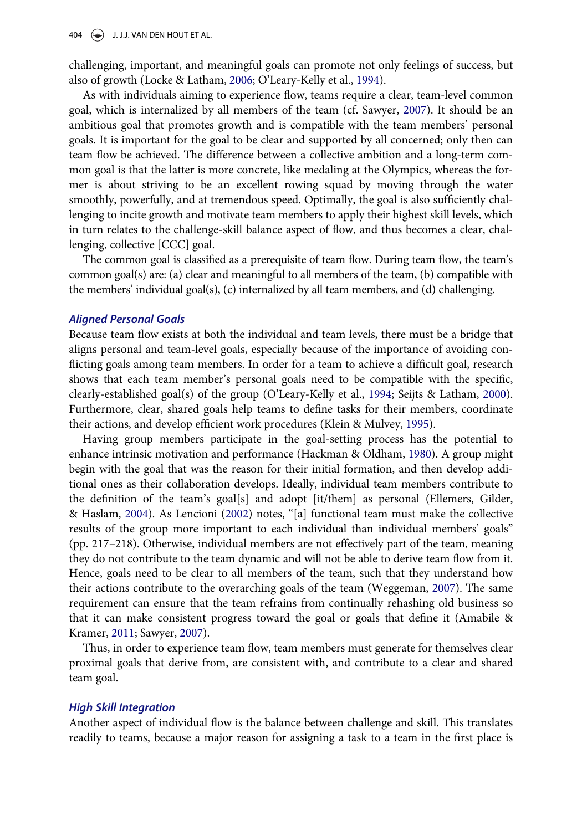<span id="page-17-2"></span>challenging, important, and meaningful goals can promote not only feelings of success, but also of growth (Locke & Latham, [2006;](#page-33-13) O'Leary-Kelly et al., [1994](#page-34-5)).

As with individuals aiming to experience flow, teams require a clear, team-level common goal, which is internalized by all members of the team (cf. Sawyer, [2007](#page-35-6)). It should be an ambitious goal that promotes growth and is compatible with the team members' personal goals. It is important for the goal to be clear and supported by all concerned; only then can team flow be achieved. The difference between a collective ambition and a long-term common goal is that the latter is more concrete, like medaling at the Olympics, whereas the former is about striving to be an excellent rowing squad by moving through the water smoothly, powerfully, and at tremendous speed. Optimally, the goal is also sufficiently challenging to incite growth and motivate team members to apply their highest skill levels, which in turn relates to the challenge-skill balance aspect of flow, and thus becomes a clear, challenging, collective [CCC] goal.

The common goal is classified as a prerequisite of team flow. During team flow, the team's common goal(s) are: (a) clear and meaningful to all members of the team, (b) compatible with the members' individual goal(s), (c) internalized by all team members, and (d) challenging.

#### Aligned Personal Goals

Because team flow exists at both the individual and team levels, there must be a bridge that aligns personal and team-level goals, especially because of the importance of avoiding conflicting goals among team members. In order for a team to achieve a difficult goal, research shows that each team member's personal goals need to be compatible with the specific, clearly-established goal(s) of the group (O'Leary-Kelly et al., [1994](#page-34-5); Seijts & Latham, [2000](#page-35-11)). Furthermore, clear, shared goals help teams to define tasks for their members, coordinate their actions, and develop efficient work procedures (Klein & Mulvey, [1995\)](#page-33-14).

<span id="page-17-3"></span><span id="page-17-1"></span><span id="page-17-0"></span>Having group members participate in the goal-setting process has the potential to enhance intrinsic motivation and performance (Hackman & Oldham, [1980\)](#page-32-17). A group might begin with the goal that was the reason for their initial formation, and then develop additional ones as their collaboration develops. Ideally, individual team members contribute to the definition of the team's goal[s] and adopt [it/them] as personal (Ellemers, Gilder, & Haslam, [2004](#page-31-10)). As Lencioni [\(2002](#page-33-15)) notes, "[a] functional team must make the collective results of the group more important to each individual than individual members' goals" (pp. 217–218). Otherwise, individual members are not effectively part of the team, meaning they do not contribute to the team dynamic and will not be able to derive team flow from it. Hence, goals need to be clear to all members of the team, such that they understand how their actions contribute to the overarching goals of the team (Weggeman, [2007](#page-36-6)). The same requirement can ensure that the team refrains from continually rehashing old business so that it can make consistent progress toward the goal or goals that define it (Amabile & Kramer, [2011;](#page-29-1) Sawyer, [2007\)](#page-35-6).

Thus, in order to experience team flow, team members must generate for themselves clear proximal goals that derive from, are consistent with, and contribute to a clear and shared team goal.

#### High Skill Integration

Another aspect of individual flow is the balance between challenge and skill. This translates readily to teams, because a major reason for assigning a task to a team in the first place is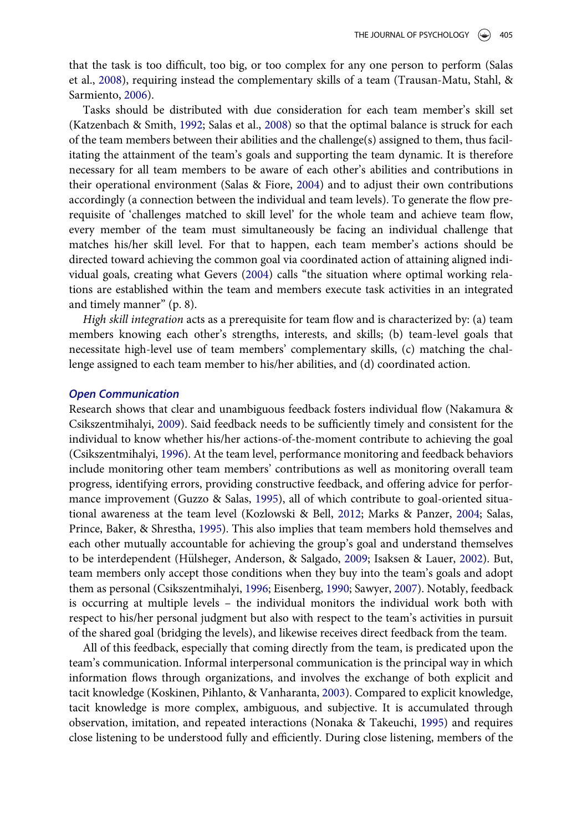that the task is too difficult, too big, or too complex for any one person to perform (Salas et al., [2008\)](#page-35-10), requiring instead the complementary skills of a team (Trausan-Matu, Stahl, & Sarmiento, [2006\)](#page-36-7).

<span id="page-18-9"></span><span id="page-18-7"></span>Tasks should be distributed with due consideration for each team member's skill set (Katzenbach & Smith, [1992](#page-32-8); Salas et al., [2008](#page-35-10)) so that the optimal balance is struck for each of the team members between their abilities and the challenge(s) assigned to them, thus facilitating the attainment of the team's goals and supporting the team dynamic. It is therefore necessary for all team members to be aware of each other's abilities and contributions in their operational environment (Salas & Fiore, [2004\)](#page-35-12) and to adjust their own contributions accordingly (a connection between the individual and team levels). To generate the flow prerequisite of 'challenges matched to skill level' for the whole team and achieve team flow, every member of the team must simultaneously be facing an individual challenge that matches his/her skill level. For that to happen, each team member's actions should be directed toward achieving the common goal via coordinated action of attaining aligned individual goals, creating what Gevers ([2004\)](#page-31-11) calls "the situation where optimal working relations are established within the team and members execute task activities in an integrated and timely manner" (p. 8).

<span id="page-18-1"></span>High skill integration acts as a prerequisite for team flow and is characterized by: (a) team members knowing each other's strengths, interests, and skills; (b) team-level goals that necessitate high-level use of team members' complementary skills, (c) matching the challenge assigned to each team member to his/her abilities, and (d) coordinated action.

#### Open Communication

<span id="page-18-8"></span><span id="page-18-5"></span><span id="page-18-2"></span>Research shows that clear and unambiguous feedback fosters individual flow (Nakamura & Csikszentmihalyi, [2009](#page-34-1)). Said feedback needs to be sufficiently timely and consistent for the individual to know whether his/her actions-of-the-moment contribute to achieving the goal (Csikszentmihalyi, [1996](#page-30-3)). At the team level, performance monitoring and feedback behaviors include monitoring other team members' contributions as well as monitoring overall team progress, identifying errors, providing constructive feedback, and offering advice for performance improvement (Guzzo & Salas, [1995\)](#page-32-18), all of which contribute to goal-oriented situational awareness at the team level (Kozlowski & Bell, [2012;](#page-33-16) Marks & Panzer, [2004](#page-33-17); Salas, Prince, Baker, & Shrestha, [1995](#page-35-13)). This also implies that team members hold themselves and each other mutually accountable for achieving the group's goal and understand themselves to be interdependent (Hülsheger, Anderson, & Salgado, [2009](#page-32-19); Isaksen & Lauer, [2002](#page-32-20)). But, team members only accept those conditions when they buy into the team's goals and adopt them as personal (Csikszentmihalyi, [1996](#page-30-3); Eisenberg, [1990](#page-31-12); Sawyer, [2007](#page-35-6)). Notably, feedback is occurring at multiple levels – the individual monitors the individual work both with respect to his/her personal judgment but also with respect to the team's activities in pursuit of the shared goal (bridging the levels), and likewise receives direct feedback from the team.

<span id="page-18-6"></span><span id="page-18-4"></span><span id="page-18-3"></span><span id="page-18-0"></span>All of this feedback, especially that coming directly from the team, is predicated upon the team's communication. Informal interpersonal communication is the principal way in which information flows through organizations, and involves the exchange of both explicit and tacit knowledge (Koskinen, Pihlanto, & Vanharanta, [2003\)](#page-33-18). Compared to explicit knowledge, tacit knowledge is more complex, ambiguous, and subjective. It is accumulated through observation, imitation, and repeated interactions (Nonaka & Takeuchi, [1995](#page-34-14)) and requires close listening to be understood fully and efficiently. During close listening, members of the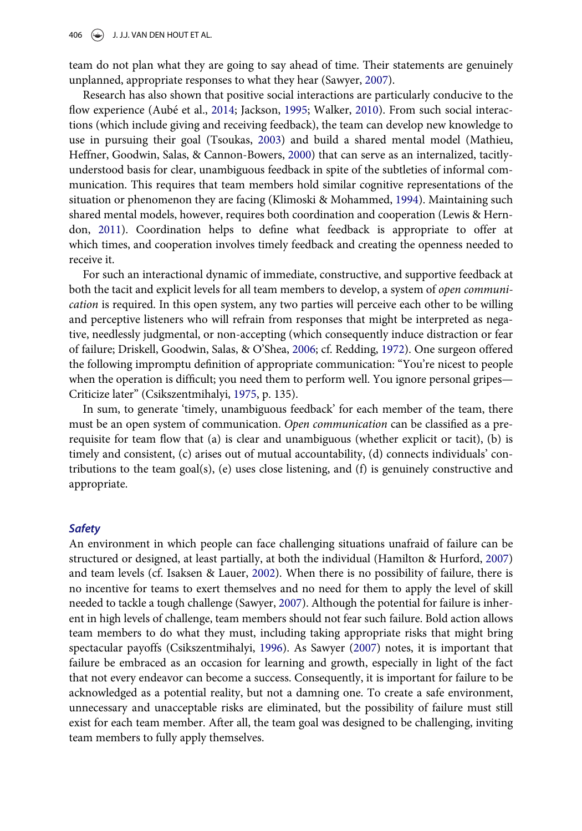team do not plan what they are going to say ahead of time. Their statements are genuinely unplanned, appropriate responses to what they hear (Sawyer, [2007](#page-35-6)).

<span id="page-19-4"></span><span id="page-19-3"></span>Research has also shown that positive social interactions are particularly conducive to the flow experience (Aubé et al., [2014](#page-30-8); Jackson, [1995](#page-32-11); Walker, [2010\)](#page-36-3). From such social interactions (which include giving and receiving feedback), the team can develop new knowledge to use in pursuing their goal (Tsoukas, [2003](#page-36-8)) and build a shared mental model (Mathieu, Heffner, Goodwin, Salas, & Cannon-Bowers, [2000](#page-34-15)) that can serve as an internalized, tacitlyunderstood basis for clear, unambiguous feedback in spite of the subtleties of informal communication. This requires that team members hold similar cognitive representations of the situation or phenomenon they are facing (Klimoski & Mohammed, [1994](#page-33-19)). Maintaining such shared mental models, however, requires both coordination and cooperation (Lewis & Herndon, [2011](#page-33-20)). Coordination helps to define what feedback is appropriate to offer at which times, and cooperation involves timely feedback and creating the openness needed to receive it.

<span id="page-19-2"></span><span id="page-19-1"></span>For such an interactional dynamic of immediate, constructive, and supportive feedback at both the tacit and explicit levels for all team members to develop, a system of open communication is required. In this open system, any two parties will perceive each other to be willing and perceptive listeners who will refrain from responses that might be interpreted as negative, needlessly judgmental, or non-accepting (which consequently induce distraction or fear of failure; Driskell, Goodwin, Salas, & O'Shea, [2006](#page-31-13); cf. Redding, [1972](#page-34-16)). One surgeon offered the following impromptu definition of appropriate communication: "You're nicest to people when the operation is difficult; you need them to perform well. You ignore personal gripes— Criticize later" (Csikszentmihalyi, [1975](#page-30-6), p. 135).

<span id="page-19-0"></span>In sum, to generate 'timely, unambiguous feedback' for each member of the team, there must be an open system of communication. Open communication can be classified as a prerequisite for team flow that (a) is clear and unambiguous (whether explicit or tacit), (b) is timely and consistent, (c) arises out of mutual accountability, (d) connects individuals' contributions to the team  $\text{goal}(s)$ , (e) uses close listening, and (f) is genuinely constructive and appropriate.

#### **Safety**

An environment in which people can face challenging situations unafraid of failure can be structured or designed, at least partially, at both the individual (Hamilton & Hurford, [2007\)](#page-32-5) and team levels (cf. Isaksen & Lauer, [2002](#page-32-20)). When there is no possibility of failure, there is no incentive for teams to exert themselves and no need for them to apply the level of skill needed to tackle a tough challenge (Sawyer, [2007](#page-35-6)). Although the potential for failure is inherent in high levels of challenge, team members should not fear such failure. Bold action allows team members to do what they must, including taking appropriate risks that might bring spectacular payoffs (Csikszentmihalyi, [1996\)](#page-30-3). As Sawyer [\(2007](#page-35-6)) notes, it is important that failure be embraced as an occasion for learning and growth, especially in light of the fact that not every endeavor can become a success. Consequently, it is important for failure to be acknowledged as a potential reality, but not a damning one. To create a safe environment, unnecessary and unacceptable risks are eliminated, but the possibility of failure must still exist for each team member. After all, the team goal was designed to be challenging, inviting team members to fully apply themselves.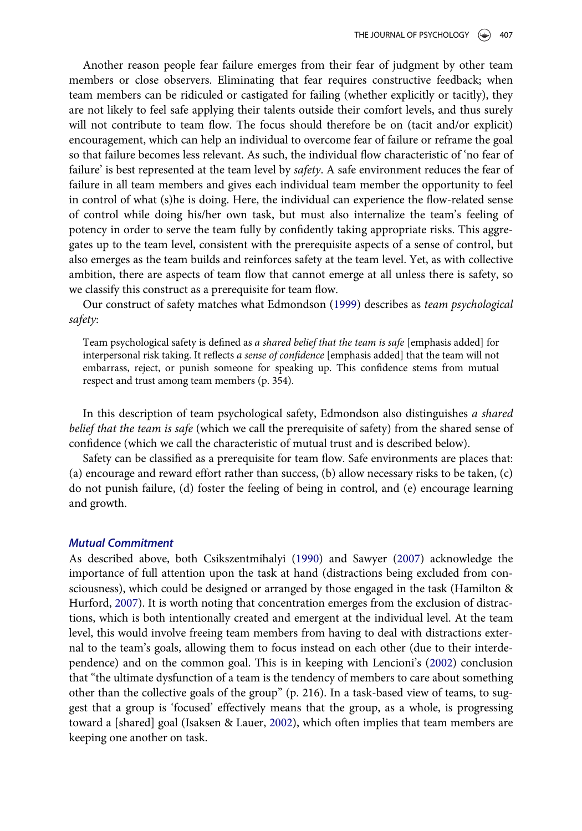Another reason people fear failure emerges from their fear of judgment by other team members or close observers. Eliminating that fear requires constructive feedback; when team members can be ridiculed or castigated for failing (whether explicitly or tacitly), they are not likely to feel safe applying their talents outside their comfort levels, and thus surely will not contribute to team flow. The focus should therefore be on (tacit and/or explicit) encouragement, which can help an individual to overcome fear of failure or reframe the goal so that failure becomes less relevant. As such, the individual flow characteristic of 'no fear of failure' is best represented at the team level by *safety*. A safe environment reduces the fear of failure in all team members and gives each individual team member the opportunity to feel in control of what (s)he is doing. Here, the individual can experience the flow-related sense of control while doing his/her own task, but must also internalize the team's feeling of potency in order to serve the team fully by confidently taking appropriate risks. This aggregates up to the team level, consistent with the prerequisite aspects of a sense of control, but also emerges as the team builds and reinforces safety at the team level. Yet, as with collective ambition, there are aspects of team flow that cannot emerge at all unless there is safety, so we classify this construct as a prerequisite for team flow.

<span id="page-20-0"></span>Our construct of safety matches what Edmondson ([1999\)](#page-31-14) describes as team psychological safety:

Team psychological safety is defined as a shared belief that the team is safe [emphasis added] for interpersonal risk taking. It reflects a sense of confidence [emphasis added] that the team will not embarrass, reject, or punish someone for speaking up. This confidence stems from mutual respect and trust among team members (p. 354).

In this description of team psychological safety, Edmondson also distinguishes a shared belief that the team is safe (which we call the prerequisite of safety) from the shared sense of confidence (which we call the characteristic of mutual trust and is described below).

Safety can be classified as a prerequisite for team flow. Safe environments are places that: (a) encourage and reward effort rather than success,  $(b)$  allow necessary risks to be taken,  $(c)$ do not punish failure, (d) foster the feeling of being in control, and (e) encourage learning and growth.

#### Mutual Commitment

As described above, both Csikszentmihalyi [\(1990](#page-30-2)) and Sawyer ([2007\)](#page-35-6) acknowledge the importance of full attention upon the task at hand (distractions being excluded from consciousness), which could be designed or arranged by those engaged in the task (Hamilton & Hurford, [2007\)](#page-32-5). It is worth noting that concentration emerges from the exclusion of distractions, which is both intentionally created and emergent at the individual level. At the team level, this would involve freeing team members from having to deal with distractions external to the team's goals, allowing them to focus instead on each other (due to their interdependence) and on the common goal. This is in keeping with Lencioni's ([2002](#page-33-15)) conclusion that "the ultimate dysfunction of a team is the tendency of members to care about something other than the collective goals of the group" (p. 216). In a task-based view of teams, to suggest that a group is 'focused' effectively means that the group, as a whole, is progressing toward a [shared] goal (Isaksen & Lauer, [2002](#page-32-20)), which often implies that team members are keeping one another on task.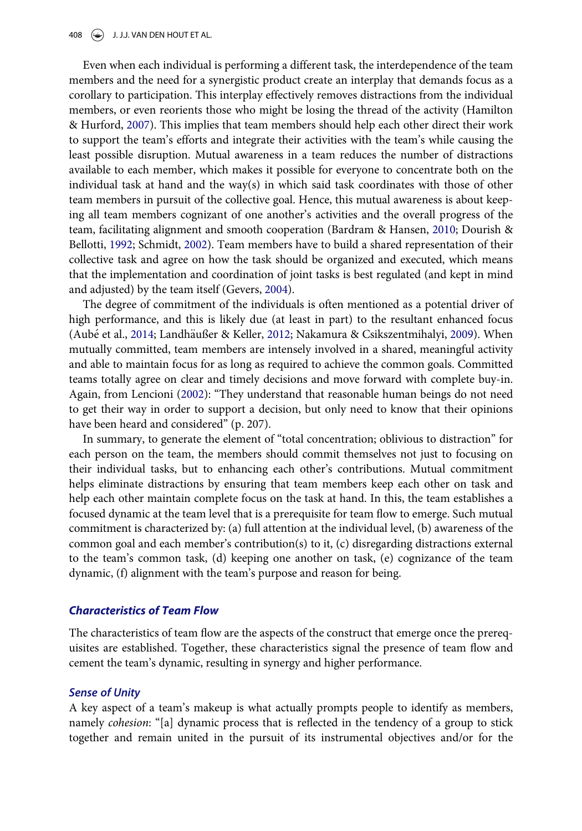Even when each individual is performing a different task, the interdependence of the team members and the need for a synergistic product create an interplay that demands focus as a corollary to participation. This interplay effectively removes distractions from the individual members, or even reorients those who might be losing the thread of the activity (Hamilton & Hurford, [2007\)](#page-32-5). This implies that team members should help each other direct their work to support the team's efforts and integrate their activities with the team's while causing the least possible disruption. Mutual awareness in a team reduces the number of distractions available to each member, which makes it possible for everyone to concentrate both on the individual task at hand and the way(s) in which said task coordinates with those of other team members in pursuit of the collective goal. Hence, this mutual awareness is about keeping all team members cognizant of one another's activities and the overall progress of the team, facilitating alignment and smooth cooperation (Bardram & Hansen, [2010](#page-30-11); Dourish & Bellotti, [1992;](#page-31-15) Schmidt, [2002](#page-35-14)). Team members have to build a shared representation of their collective task and agree on how the task should be organized and executed, which means that the implementation and coordination of joint tasks is best regulated (and kept in mind and adjusted) by the team itself (Gevers, [2004](#page-31-11)).

<span id="page-21-1"></span><span id="page-21-0"></span>The degree of commitment of the individuals is often mentioned as a potential driver of high performance, and this is likely due (at least in part) to the resultant enhanced focus (Aubé et al., [2014](#page-30-8); Landhäußer & Keller, [2012](#page-33-6); Nakamura & Csikszentmihalyi, [2009\)](#page-34-1). When mutually committed, team members are intensely involved in a shared, meaningful activity and able to maintain focus for as long as required to achieve the common goals. Committed teams totally agree on clear and timely decisions and move forward with complete buy-in. Again, from Lencioni ([2002\)](#page-33-15): "They understand that reasonable human beings do not need to get their way in order to support a decision, but only need to know that their opinions have been heard and considered" (p. 207).

In summary, to generate the element of "total concentration; oblivious to distraction" for each person on the team, the members should commit themselves not just to focusing on their individual tasks, but to enhancing each other's contributions. Mutual commitment helps eliminate distractions by ensuring that team members keep each other on task and help each other maintain complete focus on the task at hand. In this, the team establishes a focused dynamic at the team level that is a prerequisite for team flow to emerge. Such mutual commitment is characterized by: (a) full attention at the individual level, (b) awareness of the common goal and each member's contribution(s) to it, (c) disregarding distractions external to the team's common task, (d) keeping one another on task, (e) cognizance of the team dynamic, (f) alignment with the team's purpose and reason for being.

#### Characteristics of Team Flow

The characteristics of team flow are the aspects of the construct that emerge once the prerequisites are established. Together, these characteristics signal the presence of team flow and cement the team's dynamic, resulting in synergy and higher performance.

#### Sense of Unity

A key aspect of a team's makeup is what actually prompts people to identify as members, namely cohesion: "[a] dynamic process that is reflected in the tendency of a group to stick together and remain united in the pursuit of its instrumental objectives and/or for the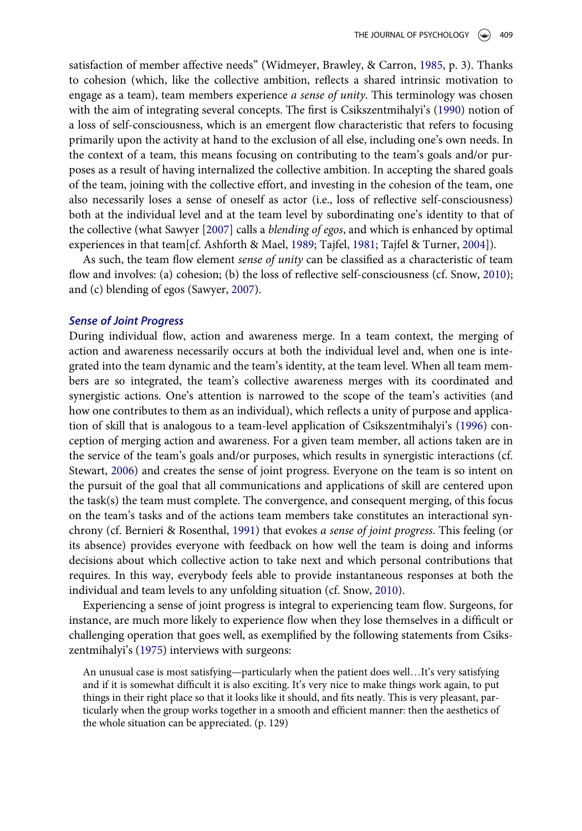<span id="page-22-3"></span>satisfaction of member affective needs" (Widmeyer, Brawley, & Carron, [1985](#page-36-9), p. 3). Thanks to cohesion (which, like the collective ambition, reflects a shared intrinsic motivation to engage as a team), team members experience *a sense of unity*. This terminology was chosen with the aim of integrating several concepts. The first is Csikszentmihalyi's [\(1990](#page-30-2)) notion of a loss of self-consciousness, which is an emergent flow characteristic that refers to focusing primarily upon the activity at hand to the exclusion of all else, including one's own needs. In the context of a team, this means focusing on contributing to the team's goals and/or purposes as a result of having internalized the collective ambition. In accepting the shared goals of the team, joining with the collective effort, and investing in the cohesion of the team, one also necessarily loses a sense of oneself as actor (i.e., loss of reflective self-consciousness) both at the individual level and at the team level by subordinating one's identity to that of the collective (what Sawyer [[2007\]](#page-35-6) calls a blending of egos, and which is enhanced by optimal experiences in that team[cf. Ashforth & Mael, [1989;](#page-29-8) Tajfel, [1981](#page-35-15); Tajfel & Turner, [2004](#page-35-16)]).

<span id="page-22-0"></span>As such, the team flow element sense of unity can be classified as a characteristic of team flow and involves: (a) cohesion; (b) the loss of reflective self-consciousness (cf. Snow, [2010](#page-35-8)); and (c) blending of egos (Sawyer, [2007](#page-35-6)).

#### Sense of Joint Progress

<span id="page-22-2"></span>During individual flow, action and awareness merge. In a team context, the merging of action and awareness necessarily occurs at both the individual level and, when one is integrated into the team dynamic and the team's identity, at the team level. When all team members are so integrated, the team's collective awareness merges with its coordinated and synergistic actions. One's attention is narrowed to the scope of the team's activities (and how one contributes to them as an individual), which reflects a unity of purpose and application of skill that is analogous to a team-level application of Csikszentmihalyi's [\(1996](#page-30-3)) conception of merging action and awareness. For a given team member, all actions taken are in the service of the team's goals and/or purposes, which results in synergistic interactions (cf. Stewart, [2006](#page-35-17)) and creates the sense of joint progress. Everyone on the team is so intent on the pursuit of the goal that all communications and applications of skill are centered upon the task(s) the team must complete. The convergence, and consequent merging, of this focus on the team's tasks and of the actions team members take constitutes an interactional synchrony (cf. Bernieri & Rosenthal, [1991](#page-30-12)) that evokes a sense of joint progress. This feeling (or its absence) provides everyone with feedback on how well the team is doing and informs decisions about which collective action to take next and which personal contributions that requires. In this way, everybody feels able to provide instantaneous responses at both the individual and team levels to any unfolding situation (cf. Snow, [2010\)](#page-35-8).

<span id="page-22-1"></span>Experiencing a sense of joint progress is integral to experiencing team flow. Surgeons, for instance, are much more likely to experience flow when they lose themselves in a difficult or challenging operation that goes well, as exemplified by the following statements from Csikszentmihalyi's ([1975\)](#page-30-6) interviews with surgeons:

An unusual case is most satisfying—particularly when the patient does well…It's very satisfying and if it is somewhat difficult it is also exciting. It's very nice to make things work again, to put things in their right place so that it looks like it should, and fits neatly. This is very pleasant, particularly when the group works together in a smooth and efficient manner: then the aesthetics of the whole situation can be appreciated. (p. 129)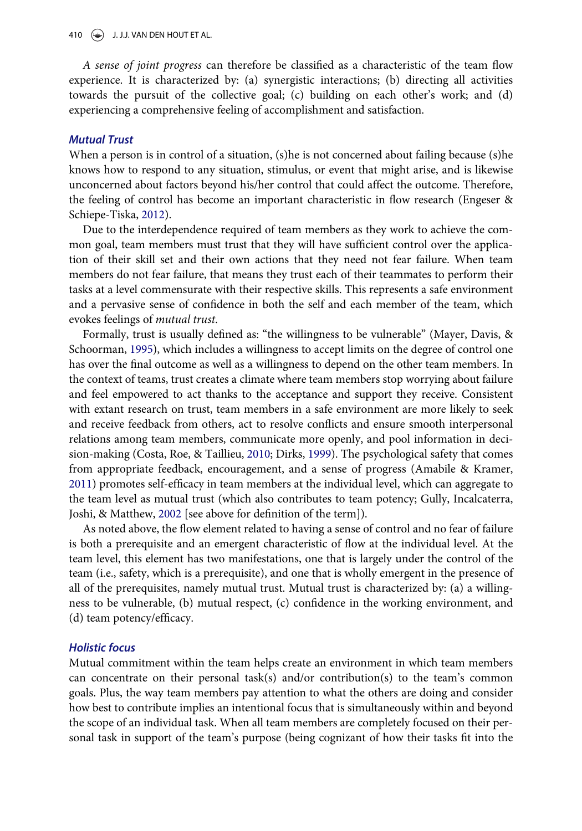410  $\left(\bigcirc\right)$  J. J.J. VAN DEN HOUT ET AL.

A sense of joint progress can therefore be classified as a characteristic of the team flow experience. It is characterized by: (a) synergistic interactions; (b) directing all activities towards the pursuit of the collective goal; (c) building on each other's work; and (d) experiencing a comprehensive feeling of accomplishment and satisfaction.

#### Mutual Trust

When a person is in control of a situation, (s)he is not concerned about failing because (s)he knows how to respond to any situation, stimulus, or event that might arise, and is likewise unconcerned about factors beyond his/her control that could affect the outcome. Therefore, the feeling of control has become an important characteristic in flow research (Engeser & Schiepe-Tiska, [2012\)](#page-31-16).

<span id="page-23-1"></span>Due to the interdependence required of team members as they work to achieve the common goal, team members must trust that they will have sufficient control over the application of their skill set and their own actions that they need not fear failure. When team members do not fear failure, that means they trust each of their teammates to perform their tasks at a level commensurate with their respective skills. This represents a safe environment and a pervasive sense of confidence in both the self and each member of the team, which evokes feelings of mutual trust.

<span id="page-23-3"></span>Formally, trust is usually defined as: "the willingness to be vulnerable" (Mayer, Davis, & Schoorman, [1995](#page-34-17)), which includes a willingness to accept limits on the degree of control one has over the final outcome as well as a willingness to depend on the other team members. In the context of teams, trust creates a climate where team members stop worrying about failure and feel empowered to act thanks to the acceptance and support they receive. Consistent with extant research on trust, team members in a safe environment are more likely to seek and receive feedback from others, act to resolve conflicts and ensure smooth interpersonal relations among team members, communicate more openly, and pool information in decision-making (Costa, Roe, & Taillieu, [2010;](#page-30-13) Dirks, [1999\)](#page-31-17). The psychological safety that comes from appropriate feedback, encouragement, and a sense of progress (Amabile & Kramer, [2011\)](#page-29-1) promotes self-efficacy in team members at the individual level, which can aggregate to the team level as mutual trust (which also contributes to team potency; Gully, Incalcaterra, Joshi, & Matthew, [2002](#page-32-21) [see above for definition of the term]).

<span id="page-23-2"></span><span id="page-23-0"></span>As noted above, the flow element related to having a sense of control and no fear of failure is both a prerequisite and an emergent characteristic of flow at the individual level. At the team level, this element has two manifestations, one that is largely under the control of the team (i.e., safety, which is a prerequisite), and one that is wholly emergent in the presence of all of the prerequisites, namely mutual trust. Mutual trust is characterized by: (a) a willingness to be vulnerable, (b) mutual respect, (c) confidence in the working environment, and (d) team potency/efficacy.

#### Holistic focus

Mutual commitment within the team helps create an environment in which team members can concentrate on their personal task(s) and/or contribution(s) to the team's common goals. Plus, the way team members pay attention to what the others are doing and consider how best to contribute implies an intentional focus that is simultaneously within and beyond the scope of an individual task. When all team members are completely focused on their personal task in support of the team's purpose (being cognizant of how their tasks fit into the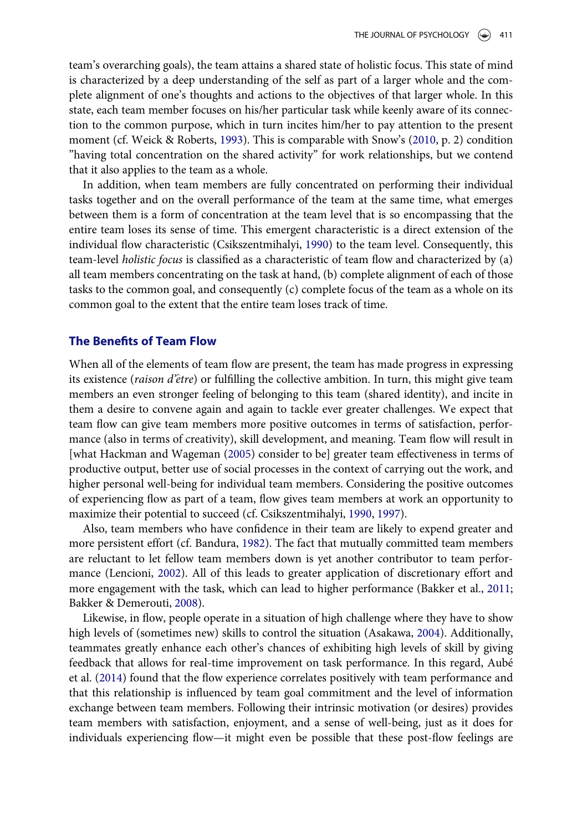team's overarching goals), the team attains a shared state of holistic focus. This state of mind is characterized by a deep understanding of the self as part of a larger whole and the complete alignment of one's thoughts and actions to the objectives of that larger whole. In this state, each team member focuses on his/her particular task while keenly aware of its connection to the common purpose, which in turn incites him/her to pay attention to the present moment (cf. Weick & Roberts, [1993](#page-36-10)). This is comparable with Snow's [\(2010](#page-35-8), p. 2) condition "having total concentration on the shared activity" for work relationships, but we contend that it also applies to the team as a whole.

<span id="page-24-2"></span>In addition, when team members are fully concentrated on performing their individual tasks together and on the overall performance of the team at the same time, what emerges between them is a form of concentration at the team level that is so encompassing that the entire team loses its sense of time. This emergent characteristic is a direct extension of the individual flow characteristic (Csikszentmihalyi, [1990](#page-30-2)) to the team level. Consequently, this team-level holistic focus is classified as a characteristic of team flow and characterized by (a) all team members concentrating on the task at hand, (b) complete alignment of each of those tasks to the common goal, and consequently (c) complete focus of the team as a whole on its common goal to the extent that the entire team loses track of time.

#### The Benefits of Team Flow

When all of the elements of team flow are present, the team has made progress in expressing its existence (*raison d'être*) or fulfilling the collective ambition. In turn, this might give team members an even stronger feeling of belonging to this team (shared identity), and incite in them a desire to convene again and again to tackle ever greater challenges. We expect that team flow can give team members more positive outcomes in terms of satisfaction, performance (also in terms of creativity), skill development, and meaning. Team flow will result in [what Hackman and Wageman [\(2005](#page-32-2)) consider to be] greater team effectiveness in terms of productive output, better use of social processes in the context of carrying out the work, and higher personal well-being for individual team members. Considering the positive outcomes of experiencing flow as part of a team, flow gives team members at work an opportunity to maximize their potential to succeed (cf. Csikszentmihalyi, [1990,](#page-30-2) [1997\)](#page-30-14).

<span id="page-24-1"></span><span id="page-24-0"></span>Also, team members who have confidence in their team are likely to expend greater and more persistent effort (cf. Bandura, [1982\)](#page-30-15). The fact that mutually committed team members are reluctant to let fellow team members down is yet another contributor to team performance (Lencioni, [2002\)](#page-33-15). All of this leads to greater application of discretionary effort and more engagement with the task, which can lead to higher performance (Bakker et al., [2011;](#page-30-9) Bakker & Demerouti, [2008](#page-30-1)).

Likewise, in flow, people operate in a situation of high challenge where they have to show high levels of (sometimes new) skills to control the situation (Asakawa, [2004](#page-29-3)). Additionally, teammates greatly enhance each other's chances of exhibiting high levels of skill by giving feedback that allows for real-time improvement on task performance. In this regard, Aube et al. ([2014\)](#page-30-8) found that the flow experience correlates positively with team performance and that this relationship is influenced by team goal commitment and the level of information exchange between team members. Following their intrinsic motivation (or desires) provides team members with satisfaction, enjoyment, and a sense of well-being, just as it does for individuals experiencing flow—it might even be possible that these post-flow feelings are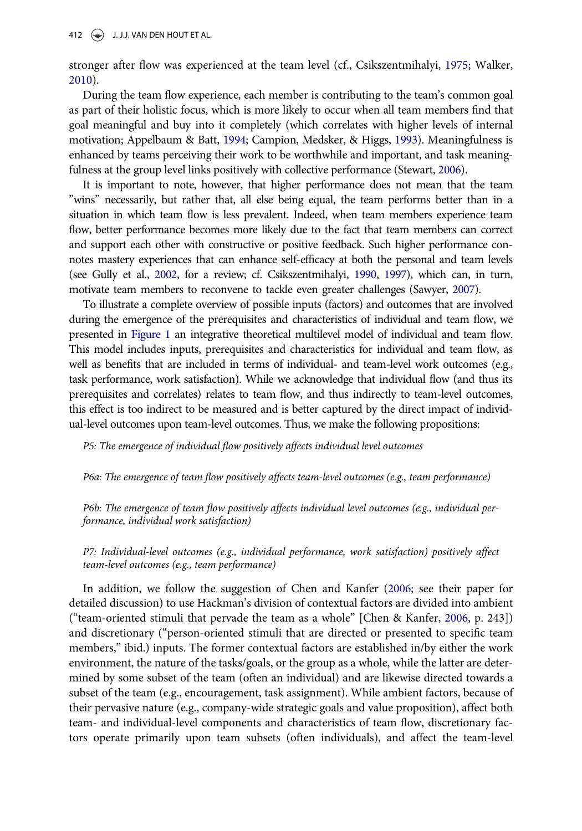412  $\left(\bigstar\right)$  J. J.J. VAN DEN HOUT ET AL.

stronger after flow was experienced at the team level (cf., Csikszentmihalyi, [1975](#page-30-6); Walker, [2010\)](#page-36-3).

<span id="page-25-0"></span>During the team flow experience, each member is contributing to the team's common goal as part of their holistic focus, which is more likely to occur when all team members find that goal meaningful and buy into it completely (which correlates with higher levels of internal motivation; Appelbaum & Batt, [1994;](#page-29-9) Campion, Medsker, & Higgs, [1993](#page-30-16)). Meaningfulness is enhanced by teams perceiving their work to be worthwhile and important, and task meaningfulness at the group level links positively with collective performance (Stewart, [2006](#page-35-17)).

It is important to note, however, that higher performance does not mean that the team "wins" necessarily, but rather that, all else being equal, the team performs better than in a situation in which team flow is less prevalent. Indeed, when team members experience team flow, better performance becomes more likely due to the fact that team members can correct and support each other with constructive or positive feedback. Such higher performance connotes mastery experiences that can enhance self-efficacy at both the personal and team levels (see Gully et al., [2002](#page-32-21), for a review; cf. Csikszentmihalyi, [1990,](#page-30-2) [1997\)](#page-31-4), which can, in turn, motivate team members to reconvene to tackle even greater challenges (Sawyer, [2007](#page-35-6)).

To illustrate a complete overview of possible inputs (factors) and outcomes that are involved during the emergence of the prerequisites and characteristics of individual and team flow, we presented in [Figure 1](#page-15-0) an integrative theoretical multilevel model of individual and team flow. This model includes inputs, prerequisites and characteristics for individual and team flow, as well as benefits that are included in terms of individual- and team-level work outcomes (e.g., task performance, work satisfaction). While we acknowledge that individual flow (and thus its prerequisites and correlates) relates to team flow, and thus indirectly to team-level outcomes, this effect is too indirect to be measured and is better captured by the direct impact of individual-level outcomes upon team-level outcomes. Thus, we make the following propositions:

P5: The emergence of individual flow positively affects individual level outcomes

P6a: The emergence of team flow positively affects team-level outcomes (e.g., team performance)

P6b: The emergence of team flow positively affects individual level outcomes (e.g., individual performance, individual work satisfaction)

P7: Individual-level outcomes (e.g., individual performance, work satisfaction) positively affect team-level outcomes (e.g., team performance)

In addition, we follow the suggestion of Chen and Kanfer ([2006;](#page-30-5) see their paper for detailed discussion) to use Hackman's division of contextual factors are divided into ambient ("team-oriented stimuli that pervade the team as a whole" [Chen & Kanfer, [2006](#page-30-5), p. 243]) and discretionary ("person-oriented stimuli that are directed or presented to specific team members," ibid.) inputs. The former contextual factors are established in/by either the work environment, the nature of the tasks/goals, or the group as a whole, while the latter are determined by some subset of the team (often an individual) and are likewise directed towards a subset of the team (e.g., encouragement, task assignment). While ambient factors, because of their pervasive nature (e.g., company-wide strategic goals and value proposition), affect both team- and individual-level components and characteristics of team flow, discretionary factors operate primarily upon team subsets (often individuals), and affect the team-level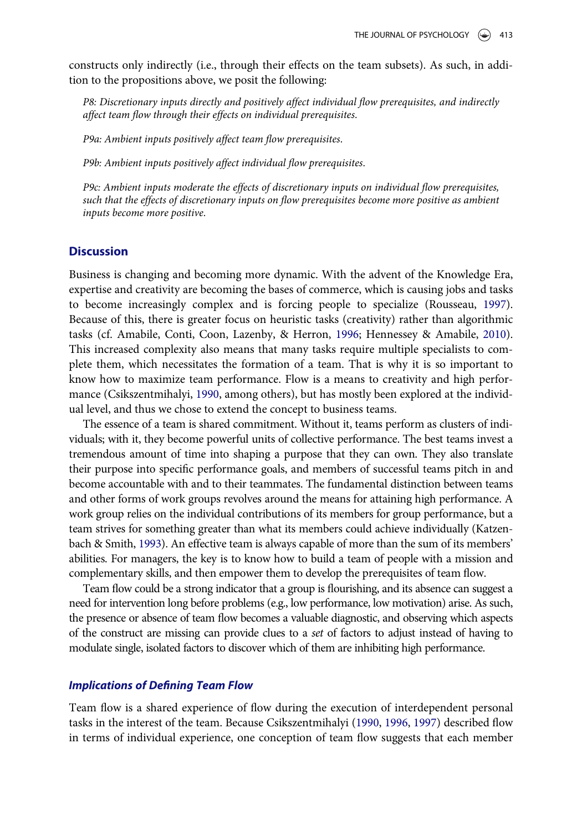constructs only indirectly (i.e., through their effects on the team subsets). As such, in addition to the propositions above, we posit the following:

P8: Discretionary inputs directly and positively affect individual flow prerequisites, and indirectly affect team flow through their effects on individual prerequisites.

P9a: Ambient inputs positively affect team flow prerequisites.

P9b: Ambient inputs positively affect individual flow prerequisites.

P9c: Ambient inputs moderate the effects of discretionary inputs on individual flow prerequisites, such that the effects of discretionary inputs on flow prerequisites become more positive as ambient inputs become more positive.

#### **Discussion**

<span id="page-26-1"></span><span id="page-26-0"></span>Business is changing and becoming more dynamic. With the advent of the Knowledge Era, expertise and creativity are becoming the bases of commerce, which is causing jobs and tasks to become increasingly complex and is forcing people to specialize (Rousseau, [1997](#page-34-18)). Because of this, there is greater focus on heuristic tasks (creativity) rather than algorithmic tasks (cf. Amabile, Conti, Coon, Lazenby, & Herron, [1996;](#page-29-10) Hennessey & Amabile, [2010](#page-32-22)). This increased complexity also means that many tasks require multiple specialists to complete them, which necessitates the formation of a team. That is why it is so important to know how to maximize team performance. Flow is a means to creativity and high performance (Csikszentmihalyi, [1990,](#page-30-2) among others), but has mostly been explored at the individual level, and thus we chose to extend the concept to business teams.

The essence of a team is shared commitment. Without it, teams perform as clusters of individuals; with it, they become powerful units of collective performance. The best teams invest a tremendous amount of time into shaping a purpose that they can own. They also translate their purpose into specific performance goals, and members of successful teams pitch in and become accountable with and to their teammates. The fundamental distinction between teams and other forms of work groups revolves around the means for attaining high performance. A work group relies on the individual contributions of its members for group performance, but a team strives for something greater than what its members could achieve individually (Katzenbach & Smith, [1993\)](#page-32-1). An effective team is always capable of more than the sum of its members' abilities. For managers, the key is to know how to build a team of people with a mission and complementary skills, and then empower them to develop the prerequisites of team flow.

Team flow could be a strong indicator that a group is flourishing, and its absence can suggest a need for intervention long before problems (e.g., low performance, low motivation) arise. As such, the presence or absence of team flow becomes a valuable diagnostic, and observing which aspects of the construct are missing can provide clues to a set of factors to adjust instead of having to modulate single, isolated factors to discover which of them are inhibiting high performance.

#### Implications of Defining Team Flow

Team flow is a shared experience of flow during the execution of interdependent personal tasks in the interest of the team. Because Csikszentmihalyi [\(1990](#page-30-2), [1996](#page-30-3), [1997](#page-31-4)) described flow in terms of individual experience, one conception of team flow suggests that each member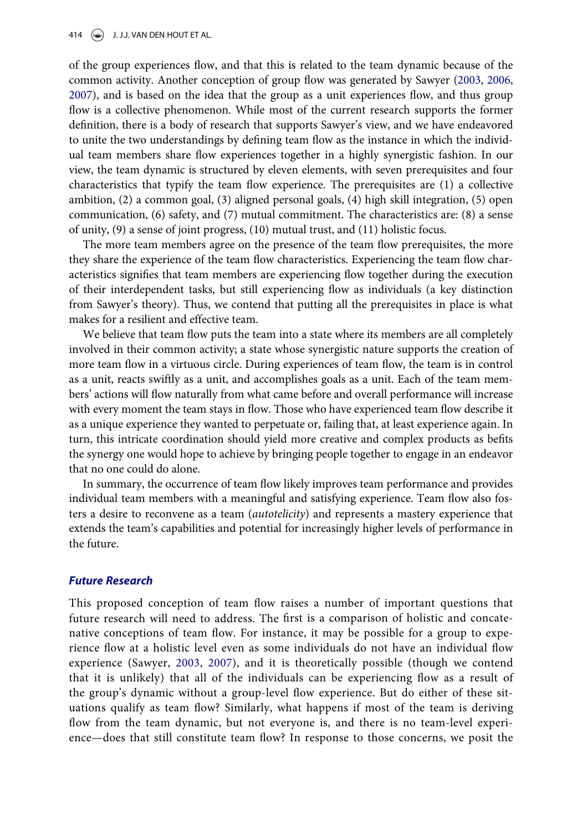#### 414  $\left(\rightarrow\right)$  J.J.J. VAN DEN HOUT ET AL.

of the group experiences flow, and that this is related to the team dynamic because of the common activity. Another conception of group flow was generated by Sawyer [\(2003](#page-35-4), [2006,](#page-35-5) [2007\)](#page-35-6), and is based on the idea that the group as a unit experiences flow, and thus group flow is a collective phenomenon. While most of the current research supports the former definition, there is a body of research that supports Sawyer's view, and we have endeavored to unite the two understandings by defining team flow as the instance in which the individual team members share flow experiences together in a highly synergistic fashion. In our view, the team dynamic is structured by eleven elements, with seven prerequisites and four characteristics that typify the team flow experience. The prerequisites are (1) a collective ambition, (2) a common goal, (3) aligned personal goals, (4) high skill integration, (5) open communication, (6) safety, and (7) mutual commitment. The characteristics are: (8) a sense of unity, (9) a sense of joint progress, (10) mutual trust, and (11) holistic focus.

The more team members agree on the presence of the team flow prerequisites, the more they share the experience of the team flow characteristics. Experiencing the team flow characteristics signifies that team members are experiencing flow together during the execution of their interdependent tasks, but still experiencing flow as individuals (a key distinction from Sawyer's theory). Thus, we contend that putting all the prerequisites in place is what makes for a resilient and effective team.

We believe that team flow puts the team into a state where its members are all completely involved in their common activity; a state whose synergistic nature supports the creation of more team flow in a virtuous circle. During experiences of team flow, the team is in control as a unit, reacts swiftly as a unit, and accomplishes goals as a unit. Each of the team members' actions will flow naturally from what came before and overall performance will increase with every moment the team stays in flow. Those who have experienced team flow describe it as a unique experience they wanted to perpetuate or, failing that, at least experience again. In turn, this intricate coordination should yield more creative and complex products as befits the synergy one would hope to achieve by bringing people together to engage in an endeavor that no one could do alone.

In summary, the occurrence of team flow likely improves team performance and provides individual team members with a meaningful and satisfying experience. Team flow also fosters a desire to reconvene as a team (autotelicity) and represents a mastery experience that extends the team's capabilities and potential for increasingly higher levels of performance in the future.

#### Future Research

This proposed conception of team flow raises a number of important questions that future research will need to address. The first is a comparison of holistic and concatenative conceptions of team flow. For instance, it may be possible for a group to experience flow at a holistic level even as some individuals do not have an individual flow experience (Sawyer, [2003](#page-35-4), [2007](#page-35-6)), and it is theoretically possible (though we contend that it is unlikely) that all of the individuals can be experiencing flow as a result of the group's dynamic without a group-level flow experience. But do either of these situations qualify as team flow? Similarly, what happens if most of the team is deriving flow from the team dynamic, but not everyone is, and there is no team-level experience—does that still constitute team flow? In response to those concerns, we posit the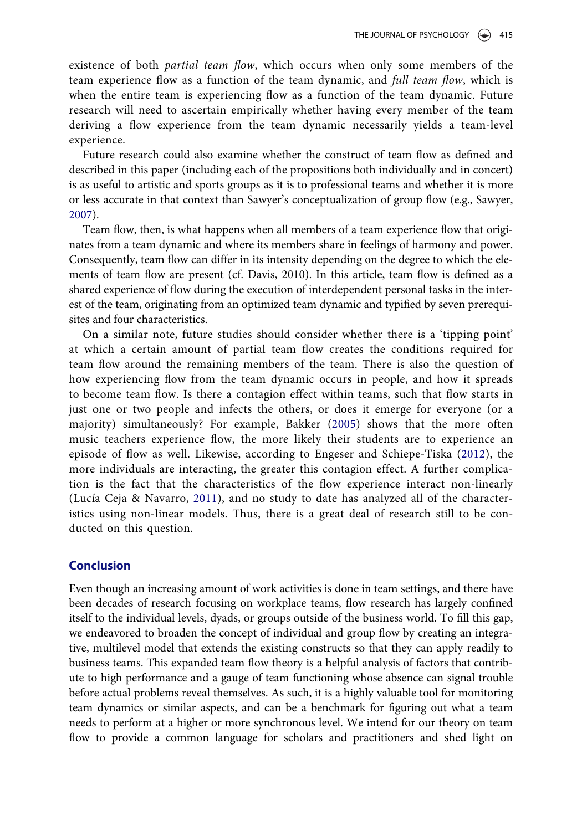existence of both *partial team flow*, which occurs when only some members of the team experience flow as a function of the team dynamic, and full team flow, which is when the entire team is experiencing flow as a function of the team dynamic. Future research will need to ascertain empirically whether having every member of the team deriving a flow experience from the team dynamic necessarily yields a team-level experience.

Future research could also examine whether the construct of team flow as defined and described in this paper (including each of the propositions both individually and in concert) is as useful to artistic and sports groups as it is to professional teams and whether it is more or less accurate in that context than Sawyer's conceptualization of group flow (e.g., Sawyer, [2007\)](#page-35-6).

Team flow, then, is what happens when all members of a team experience flow that originates from a team dynamic and where its members share in feelings of harmony and power. Consequently, team flow can differ in its intensity depending on the degree to which the elements of team flow are present (cf. Davis, 2010). In this article, team flow is defined as a shared experience of flow during the execution of interdependent personal tasks in the interest of the team, originating from an optimized team dynamic and typified by seven prerequisites and four characteristics.

<span id="page-28-0"></span>On a similar note, future studies should consider whether there is a 'tipping point' at which a certain amount of partial team flow creates the conditions required for team flow around the remaining members of the team. There is also the question of how experiencing flow from the team dynamic occurs in people, and how it spreads to become team flow. Is there a contagion effect within teams, such that flow starts in just one or two people and infects the others, or does it emerge for everyone (or a majority) simultaneously? For example, Bakker [\(2005](#page-30-17)) shows that the more often music teachers experience flow, the more likely their students are to experience an episode of flow as well. Likewise, according to Engeser and Schiepe-Tiska ([2012](#page-31-16)), the more individuals are interacting, the greater this contagion effect. A further complication is the fact that the characteristics of the flow experience interact non-linearly (Lucía Ceja & Navarro, [2011](#page-30-18)), and no study to date has analyzed all of the characteristics using non-linear models. Thus, there is a great deal of research still to be conducted on this question.

#### <span id="page-28-1"></span>Conclusion

Even though an increasing amount of work activities is done in team settings, and there have been decades of research focusing on workplace teams, flow research has largely confined itself to the individual levels, dyads, or groups outside of the business world. To fill this gap, we endeavored to broaden the concept of individual and group flow by creating an integrative, multilevel model that extends the existing constructs so that they can apply readily to business teams. This expanded team flow theory is a helpful analysis of factors that contribute to high performance and a gauge of team functioning whose absence can signal trouble before actual problems reveal themselves. As such, it is a highly valuable tool for monitoring team dynamics or similar aspects, and can be a benchmark for figuring out what a team needs to perform at a higher or more synchronous level. We intend for our theory on team flow to provide a common language for scholars and practitioners and shed light on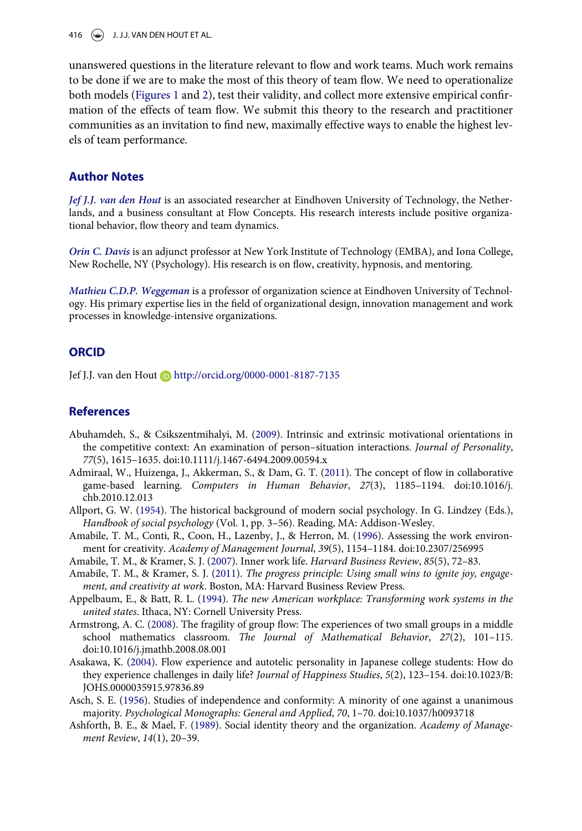416  $\left(\bigstar\right)$  J. J.J. VAN DEN HOUT ET AL.

unanswered questions in the literature relevant to flow and work teams. Much work remains to be done if we are to make the most of this theory of team flow. We need to operationalize both models [\(Figures 1](#page-15-0) and [2](#page-15-1)), test their validity, and collect more extensive empirical confirmation of the effects of team flow. We submit this theory to the research and practitioner communities as an invitation to find new, maximally effective ways to enable the highest levels of team performance.

## Author Notes

Jef J.J. van den Hout is an associated researcher at Eindhoven University of Technology, the Netherlands, and a business consultant at Flow Concepts. His research interests include positive organizational behavior, flow theory and team dynamics.

Orin C. Davis is an adjunct professor at New York Institute of Technology (EMBA), and Iona College, New Rochelle, NY (Psychology). His research is on flow, creativity, hypnosis, and mentoring.

Mathieu C.D.P. Weggeman is a professor of organization science at Eindhoven University of Technology. His primary expertise lies in the field of organizational design, innovation management and work processes in knowledge-intensive organizations.

## **ORCID**

Jef J.J. van den Hout **<http://orcid.org/0000-0001-8187-7135>** 

## **References**

- <span id="page-29-2"></span>Abuhamdeh, S., & Csikszentmihalyi, M. [\(2009](#page-3-0)). Intrinsic and extrinsic motivational orientations in the competitive context: An examination of person–situation interactions. Journal of Personality, 77(5), 1615–1635. doi:[10.1111/j.1467-6494.2009.00594.x](https://doi.org/10.1111/j.1467-6494.2009.00594.x)
- <span id="page-29-7"></span>Admiraal, W., Huizenga, J., Akkerman, S., & Dam, G. T. [\(2011](#page-10-0)). The concept of flow in collaborative game-based learning. Computers in Human Behavior, 27(3), 1185–1194. doi[:10.1016/j.](https://doi.org/10.1016/j.chb.2010.12.013) [chb.2010.12.013](https://doi.org/10.1016/j.chb.2010.12.013)
- <span id="page-29-5"></span>Allport, G. W. ([1954](#page-7-0)). The historical background of modern social psychology. In G. Lindzey (Eds.), Handbook of social psychology (Vol. 1, pp. 3–56). Reading, MA: Addison-Wesley.
- <span id="page-29-10"></span>Amabile, T. M., Conti, R., Coon, H., Lazenby, J., & Herron, M. ([1996](#page-26-0)). Assessing the work environment for creativity. Academy of Management Journal, 39(5), 1154–1184. doi[:10.2307/256995](https://doi.org/10.2307/256995)
- <span id="page-29-0"></span>Amabile, T. M., & Kramer, S. J. ([2007\)](#page-2-0). Inner work life. Harvard Business Review, 85(5), 72–83.
- <span id="page-29-1"></span>Amabile, T. M., & Kramer, S. J. ([2011\)](#page-3-1). The progress principle: Using small wins to ignite joy, engagement, and creativity at work. Boston, MA: Harvard Business Review Press.
- <span id="page-29-9"></span>Appelbaum, E., & Batt, R. L. [\(1994](#page-25-0)). The new American workplace: Transforming work systems in the united states. Ithaca, NY: Cornell University Press.
- <span id="page-29-4"></span>Armstrong, A. C. ([2008\)](#page-6-0). The fragility of group flow: The experiences of two small groups in a middle school mathematics classroom. The Journal of Mathematical Behavior, 27(2), 101–115. doi:[10.1016/j.jmathb.2008.08.001](https://doi.org/10.1016/j.jmathb.2008.08.001)
- <span id="page-29-3"></span>Asakawa, K. ([2004](#page-3-0)). Flow experience and autotelic personality in Japanese college students: How do they experience challenges in daily life? *Journal of Happiness Studies*, 5(2), 123-154. doi[:10.1023/B:](https://doi.org/10.1023/B:JOHS.0000035915.97836.89) [JOHS.0000035915.97836.89](https://doi.org/10.1023/B:JOHS.0000035915.97836.89)
- <span id="page-29-6"></span>Asch, S. E. ([1956\)](#page-7-0). Studies of independence and conformity: A minority of one against a unanimous majority. Psychological Monographs: General and Applied, 70, 1–70. doi:[10.1037/h0093718](https://doi.org/10.1037/h0093718)
- <span id="page-29-8"></span>Ashforth, B. E., & Mael, F. [\(1989](#page-22-0)). Social identity theory and the organization. Academy of Management Review, 14(1), 20–39.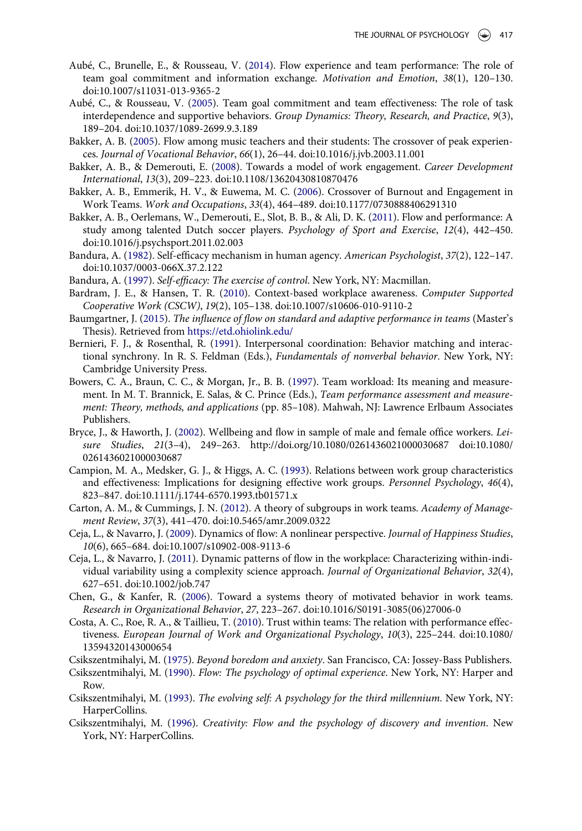- <span id="page-30-8"></span>Aube, C., Brunelle, E., & Rousseau, V. [\(2014](#page-7-1)). Flow experience and team performance: The role of team goal commitment and information exchange. Motivation and Emotion, 38(1), 120–130. doi:[10.1007/s11031-013-9365-2](https://doi.org/10.1007/s11031-013-9365-2)
- Aube, C., & Rousseau, V. (2005). Team goal commitment and team effectiveness: The role of task interdependence and supportive behaviors. Group Dynamics: Theory, Research, and Practice, 9(3), 189–204. doi[:10.1037/1089-2699.9.3.189](https://doi.org/10.1037/1089-2699.9.3.189)
- <span id="page-30-17"></span>Bakker, A. B. [\(2005\)](#page-28-0). Flow among music teachers and their students: The crossover of peak experiences. Journal of Vocational Behavior, 66(1), 26–44. doi:[10.1016/j.jvb.2003.11.001](https://doi.org/10.1016/j.jvb.2003.11.001)
- <span id="page-30-1"></span>Bakker, A. B., & Demerouti, E. [\(2008](#page-1-1)). Towards a model of work engagement. Career Development International, 13(3), 209–223. doi:[10.1108/13620430810870476](https://doi.org/10.1108/13620430810870476)
- Bakker, A. B., Emmerik, H. V., & Euwema, M. C. (2006). Crossover of Burnout and Engagement in Work Teams. Work and Occupations, 33(4), 464–489. doi:[10.1177/0730888406291310](https://doi.org/10.1177/0730888406291310)
- <span id="page-30-9"></span>Bakker, A. B., Oerlemans, W., Demerouti, E., Slot, B. B., & Ali, D. K. [\(2011](#page-10-1)). Flow and performance: A study among talented Dutch soccer players. Psychology of Sport and Exercise, 12(4), 442–450. doi:[10.1016/j.psychsport.2011.02.003](https://doi.org/10.1016/j.psychsport.2011.02.003)
- <span id="page-30-15"></span>Bandura, A. [\(1982\)](#page-24-0). Self-efficacy mechanism in human agency. American Psychologist, 37(2), 122–147. doi:[10.1037/0003-066X.37.2.122](https://doi.org/10.1037/0003-066X.37.2.122)
- <span id="page-30-7"></span>Bandura, A. [\(1997\)](#page-4-0). Self-efficacy: The exercise of control. New York, NY: Macmillan.
- <span id="page-30-11"></span>Bardram, J. E., & Hansen, T. R. [\(2010](#page-21-0)). Context-based workplace awareness. Computer Supported Cooperative Work (CSCW), 19(2), 105–138. doi[:10.1007/s10606-010-9110-2](https://doi.org/10.1007/s10606-010-9110-2)
- Baumgartner, J. (2015). The influence of flow on standard and adaptive performance in teams (Master's Thesis). Retrieved from <https://etd.ohiolink.edu/>
- <span id="page-30-12"></span>Bernieri, F. J., & Rosenthal, R. [\(1991](#page-22-1)). Interpersonal coordination: Behavior matching and interactional synchrony. In R. S. Feldman (Eds.), Fundamentals of nonverbal behavior. New York, NY: Cambridge University Press.
- <span id="page-30-14"></span>Bowers, C. A., Braun, C. C., & Morgan, Jr., B. B. ([1997\)](#page-24-1). Team workload: Its meaning and measurement. In M. T. Brannick, E. Salas, & C. Prince (Eds.), Team performance assessment and measurement: Theory, methods, and applications (pp. 85–108). Mahwah, NJ: Lawrence Erlbaum Associates Publishers.
- <span id="page-30-4"></span>Bryce, J., & Haworth, J. [\(2002\)](#page-2-0). Wellbeing and flow in sample of male and female office workers. Leisure Studies, 21(3–4), 249–263. http://doi.org[/10.1080/0261436021000030687 doi:10.1080/](https://doi.org/10.1080/0261436021000030687) [0261436021000030687](https://doi.org/10.1080/0261436021000030687)
- <span id="page-30-16"></span>Campion, M. A., Medsker, G. J., & Higgs, A. C. [\(1993\)](#page-25-0). Relations between work group characteristics and effectiveness: Implications for designing effective work groups. Personnel Psychology, 46(4), 823–847. doi[:10.1111/j.1744-6570.1993.tb01571.x](https://doi.org/10.1111/j.1744-6570.1993.tb01571.x)
- <span id="page-30-0"></span>Carton, A. M., & Cummings, J. N. [\(2012](#page-1-2)). A theory of subgroups in work teams. Academy of Management Review, 37(3), 441–470. doi[:10.5465/amr.2009.0322](https://doi.org/10.5465/amr.2009.0322)
- Ceja, L., & Navarro, J. (2009). Dynamics of flow: A nonlinear perspective. Journal of Happiness Studies, 10(6), 665–684. doi:[10.1007/s10902-008-9113-6](https://doi.org/10.1007/s10902-008-9113-6)
- <span id="page-30-18"></span>Ceja, L., & Navarro, J. [\(2011](#page-28-1)). Dynamic patterns of flow in the workplace: Characterizing within-individual variability using a complexity science approach. Journal of Organizational Behavior, 32(4), 627–651. doi[:10.1002/job.747](https://doi.org/10.1002/job.747)
- <span id="page-30-5"></span>Chen, G., & Kanfer, R. ([2006\)](#page-2-1). Toward a systems theory of motivated behavior in work teams. Research in Organizational Behavior, 27, 223–267. doi:[10.1016/S0191-3085\(06\)27006-0](https://doi.org/10.1016/S0191-3085(06)27006-0)
- <span id="page-30-13"></span>Costa, A. C., Roe, R. A., & Taillieu, T. [\(2010](#page-23-0)). Trust within teams: The relation with performance effectiveness. European Journal of Work and Organizational Psychology, 10(3), 225–244. doi:[10.1080/](https://doi.org/10.1080/13594320143000654) [13594320143000654](https://doi.org/10.1080/13594320143000654)
- <span id="page-30-6"></span>Csikszentmihalyi, M. ([1975\)](#page-3-2). Beyond boredom and anxiety. San Francisco, CA: Jossey-Bass Publishers.
- <span id="page-30-2"></span>Csikszentmihalyi, M. ([1990\)](#page-2-2). Flow: The psychology of optimal experience. New York, NY: Harper and Row.
- <span id="page-30-10"></span>Csikszentmihalyi, M. ([1993\)](#page-14-1). The evolving self: A psychology for the third millennium. New York, NY: HarperCollins.
- <span id="page-30-3"></span>Csikszentmihalyi, M. [\(1996](#page-2-3)). Creativity: Flow and the psychology of discovery and invention. New York, NY: HarperCollins.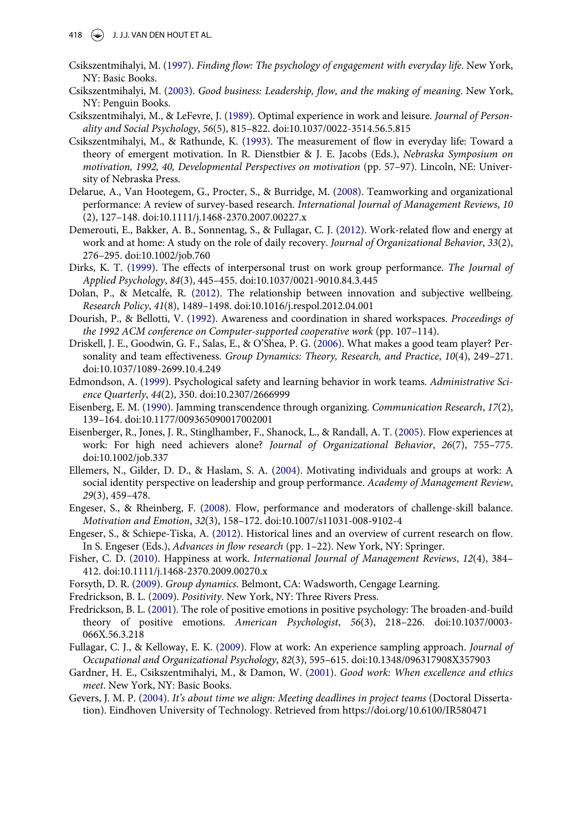- <span id="page-31-4"></span>Csikszentmihalyi, M. ([1997\)](#page-2-3). Finding flow: The psychology of engagement with everyday life. New York, NY: Basic Books.
- Csikszentmihalyi, M. (2003). Good business: Leadership, flow, and the making of meaning. New York, NY: Penguin Books.
- <span id="page-31-5"></span>Csikszentmihalyi, M., & LeFevre, J. [\(1989\)](#page-2-4). Optimal experience in work and leisure. Journal of Personality and Social Psychology, 56(5), 815–822. doi[:10.1037/0022-3514.56.5.815](https://doi.org/10.1037/0022-3514.56.5.815)
- Csikszentmihalyi, M., & Rathunde, K. (1993). The measurement of flow in everyday life: Toward a theory of emergent motivation. In R. Dienstbier & J. E. Jacobs (Eds.), Nebraska Symposium on motivation, 1992, 40, Developmental Perspectives on motivation (pp. 57–97). Lincoln, NE: University of Nebraska Press.
- <span id="page-31-0"></span>Delarue, A., Van Hootegem, G., Procter, S., & Burridge, M. ([2008\)](#page-1-3). Teamworking and organizational performance: A review of survey-based research. International Journal of Management Reviews, 10 (2), 127–148. doi:[10.1111/j.1468-2370.2007.00227.x](https://doi.org/10.1111/j.1468-2370.2007.00227.x)
- <span id="page-31-7"></span>Demerouti, E., Bakker, A. B., Sonnentag, S., & Fullagar, C. J. [\(2012](#page-2-4)). Work-related flow and energy at work and at home: A study on the role of daily recovery. Journal of Organizational Behavior, 33(2), 276–295. doi[:10.1002/job.760](https://doi.org/10.1002/job.760)
- <span id="page-31-17"></span>Dirks, K. T. [\(1999](#page-23-0)). The effects of interpersonal trust on work group performance. The Journal of Applied Psychology, 84(3), 445–455. doi:[10.1037/0021-9010.84.3.445](https://doi.org/10.1037/0021-9010.84.3.445)
- <span id="page-31-1"></span>Dolan, P., & Metcalfe, R. [\(2012](#page-1-4)). The relationship between innovation and subjective wellbeing. Research Policy, 41(8), 1489–1498. doi[:10.1016/j.respol.2012.04.001](https://doi.org/10.1016/j.respol.2012.04.001)
- <span id="page-31-15"></span>Dourish, P., & Bellotti, V. [\(1992](#page-21-1)). Awareness and coordination in shared workspaces. Proceedings of the 1992 ACM conference on Computer-supported cooperative work (pp. 107–114).
- <span id="page-31-13"></span>Driskell, J. E., Goodwin, G. F., Salas, E., & O'Shea, P. G. ([2006\)](#page-19-0). What makes a good team player? Personality and team effectiveness. Group Dynamics: Theory, Research, and Practice, 10(4), 249-271. doi:[10.1037/1089-2699.10.4.249](https://doi.org/10.1037/1089-2699.10.4.249)
- <span id="page-31-14"></span>Edmondson, A. ([1999\)](#page-20-0). Psychological safety and learning behavior in work teams. Administrative Science Quarterly, 44(2), 350. doi[:10.2307/2666999](https://doi.org/10.2307/2666999)
- <span id="page-31-12"></span>Eisenberg, E. M. [\(1990\)](#page-18-0). Jamming transcendence through organizing. Communication Research, 17(2), 139–164. doi[:10.1177/009365090017002001](https://doi.org/10.1177/009365090017002001)
- <span id="page-31-2"></span>Eisenberger, R., Jones, J. R., Stinglhamber, F., Shanock, L., & Randall, A. T. ([2005](#page-1-5)). Flow experiences at work: For high need achievers alone? Journal of Organizational Behavior, 26(7), 755–775. doi:[10.1002/job.337](https://doi.org/10.1002/job.337)
- <span id="page-31-10"></span>Ellemers, N., Gilder, D. D., & Haslam, S. A. ([2004\)](#page-17-0). Motivating individuals and groups at work: A social identity perspective on leadership and group performance. Academy of Management Review, 29(3), 459–478.
- Engeser, S., & Rheinberg, F. (2008). Flow, performance and moderators of challenge-skill balance. Motivation and Emotion, 32(3), 158–172. doi[:10.1007/s11031-008-9102-4](https://doi.org/10.1007/s11031-008-9102-4)
- <span id="page-31-16"></span>Engeser, S., & Schiepe-Tiska, A. ([2012](#page-23-1)). Historical lines and an overview of current research on flow. In S. Engeser (Eds.), Advances in flow research (pp. 1–22). New York, NY: Springer.
- <span id="page-31-3"></span>Fisher, C. D. [\(2010](#page-1-5)). Happiness at work. International Journal of Management Reviews, 12(4), 384– 412. doi:[10.1111/j.1468-2370.2009.00270.x](https://doi.org/10.1111/j.1468-2370.2009.00270.x)
- <span id="page-31-9"></span>Forsyth, D. R. ([2009\)](#page-5-1). Group dynamics. Belmont, CA: Wadsworth, Cengage Learning.
- Fredrickson, B. L. (2009). Positivity. New York, NY: Three Rivers Press.
- <span id="page-31-6"></span>Fredrickson, B. L. [\(2001](#page-2-5)). The role of positive emotions in positive psychology: The broaden-and-build theory of positive emotions. American Psychologist, 56(3), 218–226. doi[:10.1037/0003-](https://doi.org/10.1037/0003-066X.56.3.218) [066X.56.3.218](https://doi.org/10.1037/0003-066X.56.3.218)
- Fullagar, C. J., & Kelloway, E. K. (2009). Flow at work: An experience sampling approach. Journal of Occupational and Organizational Psychology, 82(3), 595–615. doi[:10.1348/096317908X357903](https://doi.org/10.1348/096317908X357903)
- <span id="page-31-8"></span>Gardner, H. E., Csikszentmihalyi, M., & Damon, W. ([2001\)](#page-5-2). Good work: When excellence and ethics meet. New York, NY: Basic Books.
- <span id="page-31-11"></span>Gevers, J. M. P. [\(2004](#page-18-1)). It's about time we align: Meeting deadlines in project teams (Doctoral Dissertation). Eindhoven University of Technology. Retrieved from https://doi.org/[10.6100/IR580471](https://doi.org/10.6100/IR580471)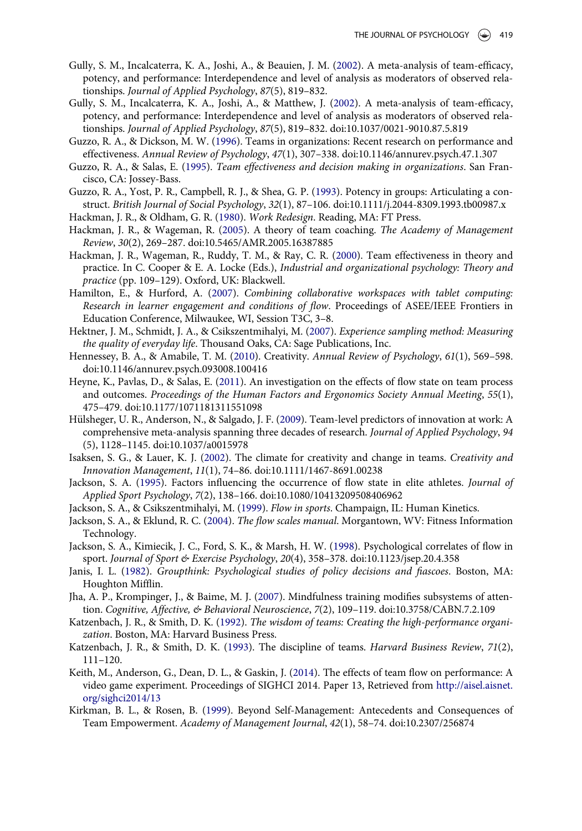- <span id="page-32-15"></span>Gully, S. M., Incalcaterra, K. A., Joshi, A., & Beauien, J. M. [\(2002\)](#page-14-2). A meta-analysis of team-efficacy, potency, and performance: Interdependence and level of analysis as moderators of observed relationships. Journal of Applied Psychology, 87(5), 819–832.
- <span id="page-32-21"></span>Gully, S. M., Incalcaterra, K. A., Joshi, A., & Matthew, J. ([2002\)](#page-23-2). A meta-analysis of team-efficacy, potency, and performance: Interdependence and level of analysis as moderators of observed relationships. Journal of Applied Psychology, 87(5), 819–832. doi:[10.1037/0021-9010.87.5.819](https://doi.org/10.1037/0021-9010.87.5.819)
- <span id="page-32-0"></span>Guzzo, R. A., & Dickson, M. W. ([1996\)](#page-1-6). Teams in organizations: Recent research on performance and effectiveness. Annual Review of Psychology, 47(1), 307–338. doi[:10.1146/annurev.psych.47.1.307](https://doi.org/10.1146/annurev.psych.47.1.307)
- <span id="page-32-18"></span>Guzzo, R. A., & Salas, E. ([1995\)](#page-18-2). Team effectiveness and decision making in organizations. San Francisco, CA: Jossey-Bass.
- <span id="page-32-16"></span>Guzzo, R. A., Yost, P. R., Campbell, R. J., & Shea, G. P. [\(1993](#page-16-0)). Potency in groups: Articulating a construct. British Journal of Social Psychology, 32(1), 87–106. doi:[10.1111/j.2044-8309.1993.tb00987.x](https://doi.org/10.1111/j.2044-8309.1993.tb00987.x)
- <span id="page-32-17"></span>Hackman, J. R., & Oldham, G. R. [\(1980\)](#page-16-1). Work Redesign. Reading, MA: FT Press.
- <span id="page-32-2"></span>Hackman, J. R., & Wageman, R. ([2005\)](#page-1-1). A theory of team coaching. The Academy of Management Review, 30(2), 269–287. doi:[10.5465/AMR.2005.16387885](https://doi.org/10.5465/AMR.2005.16387885)
- <span id="page-32-12"></span>Hackman, J. R., Wageman, R., Ruddy, T. M., & Ray, C. R. ([2000\)](#page-7-2). Team effectiveness in theory and practice. In C. Cooper & E. A. Locke (Eds.), Industrial and organizational psychology: Theory and practice (pp. 109–129). Oxford, UK: Blackwell.
- <span id="page-32-5"></span>Hamilton, E., & Hurford, A. [\(2007](#page-3-3)). Combining collaborative workspaces with tablet computing: Research in learner engagement and conditions of flow. Proceedings of ASEE/IEEE Frontiers in Education Conference, Milwaukee, WI, Session T3C, 3–8.
- <span id="page-32-3"></span>Hektner, J. M., Schmidt, J. A., & Csikszentmihalyi, M. ([2007](#page-2-5)). Experience sampling method: Measuring the quality of everyday life. Thousand Oaks, CA: Sage Publications, Inc.
- <span id="page-32-22"></span>Hennessey, B. A., & Amabile, T. M. [\(2010\)](#page-26-0). Creativity. Annual Review of Psychology, 61(1), 569–598. doi:[10.1146/annurev.psych.093008.100416](https://doi.org/10.1146/annurev.psych.093008.100416)
- <span id="page-32-14"></span>Heyne, K., Pavlas, D., & Salas, E. ([2011\)](#page-10-2). An investigation on the effects of flow state on team process and outcomes. Proceedings of the Human Factors and Ergonomics Society Annual Meeting, 55(1), 475–479. doi[:10.1177/1071181311551098](https://doi.org/10.1177/1071181311551098)
- <span id="page-32-19"></span>Hülsheger, U. R., Anderson, N., & Salgado, J. F. ([2009\)](#page-18-3). Team-level predictors of innovation at work: A comprehensive meta-analysis spanning three decades of research. Journal of Applied Psychology, 94 (5), 1128–1145. doi:[10.1037/a0015978](https://doi.org/10.1037/a0015978)
- <span id="page-32-20"></span>Isaksen, S. G., & Lauer, K. J. ([2002\)](#page-18-3). The climate for creativity and change in teams. Creativity and Innovation Management, 11(1), 74–86. doi:[10.1111/1467-8691.00238](https://doi.org/10.1111/1467-8691.00238)
- <span id="page-32-11"></span>Jackson, S. A. ([1995](#page-6-0)). Factors influencing the occurrence of flow state in elite athletes. Journal of Applied Sport Psychology, 7(2), 138–166. doi[:10.1080/10413209508406962](https://doi.org/10.1080/10413209508406962)
- <span id="page-32-10"></span>Jackson, S. A., & Csikszentmihalyi, M. ([1999\)](#page-6-1). Flow in sports. Champaign, IL: Human Kinetics.
- <span id="page-32-6"></span>Jackson, S. A., & Eklund, R. C. [\(2004\)](#page-3-4). The flow scales manual. Morgantown, WV: Fitness Information Technology.
- <span id="page-32-9"></span>Jackson, S. A., Kimiecik, J. C., Ford, S. K., & Marsh, H. W. ([1998\)](#page-6-1). Psychological correlates of flow in sport. Journal of Sport & Exercise Psychology, 20(4), 358–378. doi:[10.1123/jsep.20.4.358](https://doi.org/10.1123/jsep.20.4.358)
- Janis, I. L. (1982). Groupthink: Psychological studies of policy decisions and fiascoes. Boston, MA: Houghton Mifflin.
- <span id="page-32-7"></span>Jha, A. P., Krompinger, J., & Baime, M. J. [\(2007\)](#page-4-1). Mindfulness training modifies subsystems of attention. Cognitive, Affective, & Behavioral Neuroscience, 7(2), 109–119. doi[:10.3758/CABN.7.2.109](https://doi.org/10.3758/CABN.7.2.109)
- <span id="page-32-8"></span>Katzenbach, J. R., & Smith, D. K. [\(1992\)](#page-6-2). The wisdom of teams: Creating the high-performance organization. Boston, MA: Harvard Business Press.
- <span id="page-32-1"></span>Katzenbach, J. R., & Smith, D. K. [\(1993](#page-1-7)). The discipline of teams. Harvard Business Review, 71(2), 111–120.
- <span id="page-32-13"></span>Keith, M., Anderson, G., Dean, D. L., & Gaskin, J. ([2014\)](#page-10-3). The effects of team flow on performance: A video game experiment. Proceedings of SIGHCI 2014. Paper 13, Retrieved from [http://aisel.aisnet.](http://aisel.aisnet.org/sighci2014/13) [org/sighci2014/13](http://aisel.aisnet.org/sighci2014/13)
- <span id="page-32-4"></span>Kirkman, B. L., & Rosen, B. [\(1999](#page-2-6)). Beyond Self-Management: Antecedents and Consequences of Team Empowerment. Academy of Management Journal, 42(1), 58–74. doi[:10.2307/256874](https://doi.org/10.2307/256874)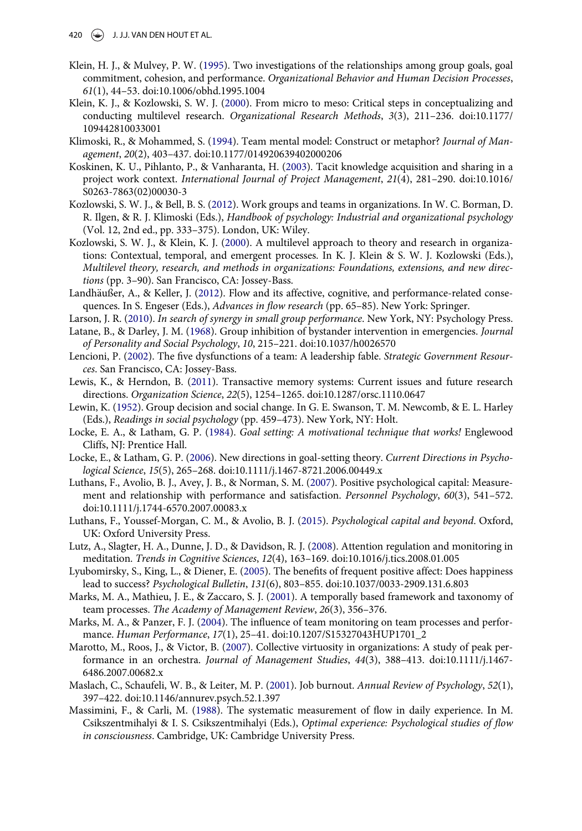420  $\left(\frac{1}{2}\right)$  J. J.J. VAN DEN HOUT ET AL.

- <span id="page-33-14"></span>Klein, H. J., & Mulvey, P. W. ([1995\)](#page-17-1). Two investigations of the relationships among group goals, goal commitment, cohesion, and performance. Organizational Behavior and Human Decision Processes, 61(1), 44–53. doi[:10.1006/obhd.1995.1004](https://doi.org/10.1006/obhd.1995.1004)
- Klein, K. J., & Kozlowski, S. W. J. (2000). From micro to meso: Critical steps in conceptualizing and conducting multilevel research. Organizational Research Methods, 3(3), 211–236. doi:[10.1177/](https://doi.org/10.1177/109442810033001) [109442810033001](https://doi.org/10.1177/109442810033001)
- <span id="page-33-19"></span>Klimoski, R., & Mohammed, S. [\(1994](#page-19-1)). Team mental model: Construct or metaphor? Journal of Management, 20(2), 403–437. doi[:10.1177/014920639402000206](https://doi.org/10.1177/014920639402000206)
- <span id="page-33-18"></span>Koskinen, K. U., Pihlanto, P., & Vanharanta, H. ([2003\)](#page-18-4). Tacit knowledge acquisition and sharing in a project work context. International Journal of Project Management, 21(4), 281–290. doi:[10.1016/](https://doi.org/10.1016/S0263-7863(02)00030-3) [S0263-7863\(02\)00030-3](https://doi.org/10.1016/S0263-7863(02)00030-3)
- <span id="page-33-16"></span>Kozlowski, S. W. J., & Bell, B. S. [\(2012](#page-18-5)). Work groups and teams in organizations. In W. C. Borman, D. R. Ilgen, & R. J. Klimoski (Eds.), Handbook of psychology: Industrial and organizational psychology (Vol. 12, 2nd ed., pp. 333–375). London, UK: Wiley.
- <span id="page-33-10"></span>Kozlowski, S. W. J., & Klein, K. J. ([2000\)](#page-14-3). A multilevel approach to theory and research in organizations: Contextual, temporal, and emergent processes. In K. J. Klein & S. W. J. Kozlowski (Eds.), Multilevel theory, research, and methods in organizations: Foundations, extensions, and new directions (pp. 3–90). San Francisco, CA: Jossey-Bass.
- <span id="page-33-6"></span>Landhäußer, A., & Keller, J. ([2012\)](#page-3-5). Flow and its affective, cognitive, and performance-related consequences. In S. Engeser (Eds.), Advances in flow research (pp. 65–85). New York: Springer.
- <span id="page-33-0"></span>Larson, J. R. ([2010\)](#page-1-3). In search of synergy in small group performance. New York, NY: Psychology Press.
- <span id="page-33-8"></span>Latane, B., & Darley, J. M. [\(1968](#page-7-3)). Group inhibition of bystander intervention in emergencies. Journal of Personality and Social Psychology, 10, 215–221. doi:[10.1037/h0026570](https://doi.org/10.1037/h0026570)
- <span id="page-33-15"></span>Lencioni, P. [\(2002](#page-17-0)). The five dysfunctions of a team: A leadership fable. Strategic Government Resources. San Francisco, CA: Jossey-Bass.
- <span id="page-33-20"></span>Lewis, K., & Herndon, B. [\(2011\)](#page-19-2). Transactive memory systems: Current issues and future research directions. Organization Science, 22(5), 1254–1265. doi[:10.1287/orsc.1110.0647](https://doi.org/10.1287/orsc.1110.0647)
- <span id="page-33-9"></span>Lewin, K. ([1952\)](#page-7-3). Group decision and social change. In G. E. Swanson, T. M. Newcomb, & E. L. Harley (Eds.), Readings in social psychology (pp. 459–473). New York, NY: Holt.
- <span id="page-33-12"></span>Locke, E. A., & Latham, G. P. ([1984\)](#page-16-1). Goal setting: A motivational technique that works! Englewood Cliffs, NJ: Prentice Hall.
- <span id="page-33-13"></span>Locke, E., & Latham, G. P. [\(2006](#page-17-2)). New directions in goal-setting theory. Current Directions in Psychological Science, 15(5), 265–268. doi[:10.1111/j.1467-8721.2006.00449.x](https://doi.org/10.1111/j.1467-8721.2006.00449.x)
- <span id="page-33-5"></span>Luthans, F., Avolio, B. J., Avey, J. B., & Norman, S. M. ([2007\)](#page-2-7). Positive psychological capital: Measurement and relationship with performance and satisfaction. Personnel Psychology, 60(3), 541-572. doi:[10.1111/j.1744-6570.2007.00083.x](https://doi.org/10.1111/j.1744-6570.2007.00083.x)
- <span id="page-33-4"></span>Luthans, F., Youssef-Morgan, C. M., & Avolio, B. J. ([2015](#page-2-8)). Psychological capital and beyond. Oxford, UK: Oxford University Press.
- <span id="page-33-7"></span>Lutz, A., Slagter, H. A., Dunne, J. D., & Davidson, R. J. ([2008\)](#page-4-2). Attention regulation and monitoring in meditation. Trends in Cognitive Sciences, 12(4), 163–169. doi[:10.1016/j.tics.2008.01.005](https://doi.org/10.1016/j.tics.2008.01.005)
- <span id="page-33-1"></span>Lyubomirsky, S., King, L., & Diener, E. [\(2005](#page-1-5)). The benefits of frequent positive affect: Does happiness lead to success? Psychological Bulletin, 131(6), 803–855. doi[:10.1037/0033-2909.131.6.803](https://doi.org/10.1037/0033-2909.131.6.803)
- Marks, M. A., Mathieu, J. E., & Zaccaro, S. J. (2001). A temporally based framework and taxonomy of team processes. The Academy of Management Review, 26(3), 356–376.
- <span id="page-33-17"></span>Marks, M. A., & Panzer, F. J. ([2004\)](#page-18-5). The influence of team monitoring on team processes and performance. Human Performance, 17(1), 25–41. doi:[10.1207/S15327043HUP1701\\_2](https://doi.org/10.1207/S15327043HUP1701_2)
- <span id="page-33-11"></span>Marotto, M., Roos, J., & Victor, B. ([2007\)](#page-14-4). Collective virtuosity in organizations: A study of peak performance in an orchestra. Journal of Management Studies, 44(3), 388–413. doi:[10.1111/j.1467-](https://doi.org/10.1111/j.1467-6486.2007.00682.x) [6486.2007.00682.x](https://doi.org/10.1111/j.1467-6486.2007.00682.x)
- <span id="page-33-3"></span>Maslach, C., Schaufeli, W. B., & Leiter, M. P. [\(2001\)](#page-2-9). Job burnout. Annual Review of Psychology, 52(1), 397–422. doi[:10.1146/annurev.psych.52.1.397](https://doi.org/10.1146/annurev.psych.52.1.397)
- <span id="page-33-2"></span>Massimini, F., & Carli, M. ([1988\)](#page-2-10). The systematic measurement of flow in daily experience. In M. Csikszentmihalyi & I. S. Csikszentmihalyi (Eds.), Optimal experience: Psychological studies of flow in consciousness. Cambridge, UK: Cambridge University Press.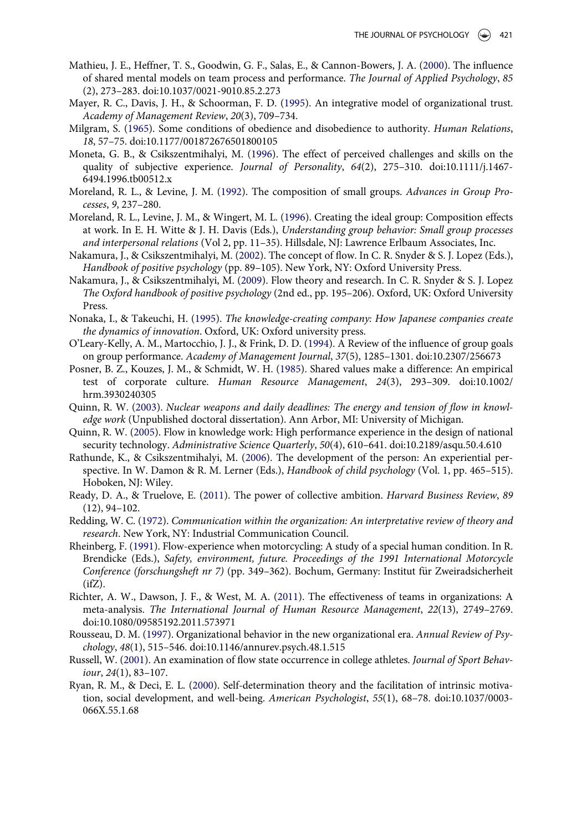- <span id="page-34-15"></span>Mathieu, J. E., Heffner, T. S., Goodwin, G. F., Salas, E., & Cannon-Bowers, J. A. [\(2000](#page-19-3)). The influence of shared mental models on team process and performance. The Journal of Applied Psychology, 85 (2), 273–283. doi:[10.1037/0021-9010.85.2.273](https://doi.org/10.1037/0021-9010.85.2.273)
- <span id="page-34-17"></span>Mayer, R. C., Davis, J. H., & Schoorman, F. D. [\(1995](#page-23-3)). An integrative model of organizational trust. Academy of Management Review, 20(3), 709–734.
- <span id="page-34-11"></span>Milgram, S. ([1965\)](#page-7-3). Some conditions of obedience and disobedience to authority. Human Relations, 18, 57–75. doi[:10.1177/001872676501800105](https://doi.org/10.1177/001872676501800105)
- <span id="page-34-4"></span>Moneta, G. B., & Csikszentmihalyi, M. ([1996\)](#page-3-0). The effect of perceived challenges and skills on the quality of subjective experience. Journal of Personality, 64(2), 275-310. doi:[10.1111/j.1467-](https://doi.org/10.1111/j.1467-6494.1996.tb00512.x) [6494.1996.tb00512.x](https://doi.org/10.1111/j.1467-6494.1996.tb00512.x)
- <span id="page-34-7"></span>Moreland, R. L., & Levine, J. M. [\(1992](#page-5-3)). The composition of small groups. Advances in Group Processes, 9, 237–280.
- <span id="page-34-6"></span>Moreland, R. L., Levine, J. M., & Wingert, M. L. [\(1996](#page-5-4)). Creating the ideal group: Composition effects at work. In E. H. Witte & J. H. Davis (Eds.), Understanding group behavior: Small group processes and interpersonal relations (Vol 2, pp. 11–35). Hillsdale, NJ: Lawrence Erlbaum Associates, Inc.
- <span id="page-34-2"></span>Nakamura, J., & Csikszentmihalyi, M. ([2002](#page-3-6)). The concept of flow. In C. R. Snyder & S. J. Lopez (Eds.), Handbook of positive psychology (pp. 89–105). New York, NY: Oxford University Press.
- <span id="page-34-1"></span>Nakamura, J., & Csikszentmihalyi, M. ([2009\)](#page-3-3). Flow theory and research. In C. R. Snyder & S. J. Lopez The Oxford handbook of positive psychology (2nd ed., pp. 195–206). Oxford, UK: Oxford University Press.
- <span id="page-34-14"></span>Nonaka, I., & Takeuchi, H. ([1995\)](#page-18-6). The knowledge-creating company: How Japanese companies create the dynamics of innovation. Oxford, UK: Oxford university press.
- <span id="page-34-5"></span>O'Leary-Kelly, A. M., Martocchio, J. J., & Frink, D. D. ([1994\)](#page-3-7). A Review of the influence of group goals on group performance. Academy of Management Journal, 37(5), 1285–1301. doi[:10.2307/256673](https://doi.org/10.2307/256673)
- <span id="page-34-12"></span>Posner, B. Z., Kouzes, J. M., & Schmidt, W. H. [\(1985\)](#page-16-2). Shared values make a difference: An empirical test of corporate culture. Human Resource Management, 24(3), 293–309. doi:[10.1002/](https://doi.org/10.1002/hrm.3930240305) [hrm.3930240305](https://doi.org/10.1002/hrm.3930240305)
- <span id="page-34-10"></span>Quinn, R. W. [\(2003\)](#page-6-3). Nuclear weapons and daily deadlines: The energy and tension of flow in knowledge work (Unpublished doctoral dissertation). Ann Arbor, MI: University of Michigan.
- <span id="page-34-9"></span>Quinn, R. W. ([2005\)](#page-6-4). Flow in knowledge work: High performance experience in the design of national security technology. Administrative Science Quarterly, 50(4), 610–641. doi[:10.2189/asqu.50.4.610](https://doi.org/10.2189/asqu.50.4.610)
- Rathunde, K., & Csikszentmihalyi, M. (2006). The development of the person: An experiential perspective. In W. Damon & R. M. Lerner (Eds.), Handbook of child psychology (Vol. 1, pp. 465–515). Hoboken, NJ: Wiley.
- <span id="page-34-13"></span>Ready, D. A., & Truelove, E. ([2011](#page-16-2)). The power of collective ambition. Harvard Business Review, 89 (12), 94–102.
- <span id="page-34-16"></span>Redding, W. C. ([1972\)](#page-19-0). Communication within the organization: An interpretative review of theory and research. New York, NY: Industrial Communication Council.
- Rheinberg, F. (1991). Flow-experience when motorcycling: A study of a special human condition. In R. Brendicke (Eds.), Safety, environment, future. Proceedings of the 1991 International Motorcycle Conference (forschungsheft nr 7) (pp. 349–362). Bochum, Germany: Institut fur Zweiradsicherheit €  $(ifZ).$
- <span id="page-34-0"></span>Richter, A. W., Dawson, J. F., & West, M. A. [\(2011](#page-1-8)). The effectiveness of teams in organizations: A meta-analysis. The International Journal of Human Resource Management, 22(13), 2749–2769. doi:[10.1080/09585192.2011.573971](https://doi.org/10.1080/09585192.2011.573971)
- <span id="page-34-18"></span>Rousseau, D. M. ([1997\)](#page-26-1). Organizational behavior in the new organizational era. Annual Review of Psychology, 48(1), 515–546. doi[:10.1146/annurev.psych.48.1.515](https://doi.org/10.1146/annurev.psych.48.1.515)
- <span id="page-34-8"></span>Russell, W. [\(2001](#page-6-5)). An examination of flow state occurrence in college athletes. Journal of Sport Behaviour, 24(1), 83–107.
- <span id="page-34-3"></span>Ryan, R. M., & Deci, E. L. ([2000\)](#page-3-2). Self-determination theory and the facilitation of intrinsic motivation, social development, and well-being. American Psychologist, 55(1), 68–78. doi[:10.1037/0003-](https://doi.org/10.1037/0003-066X.55.1.68) [066X.55.1.68](https://doi.org/10.1037/0003-066X.55.1.68)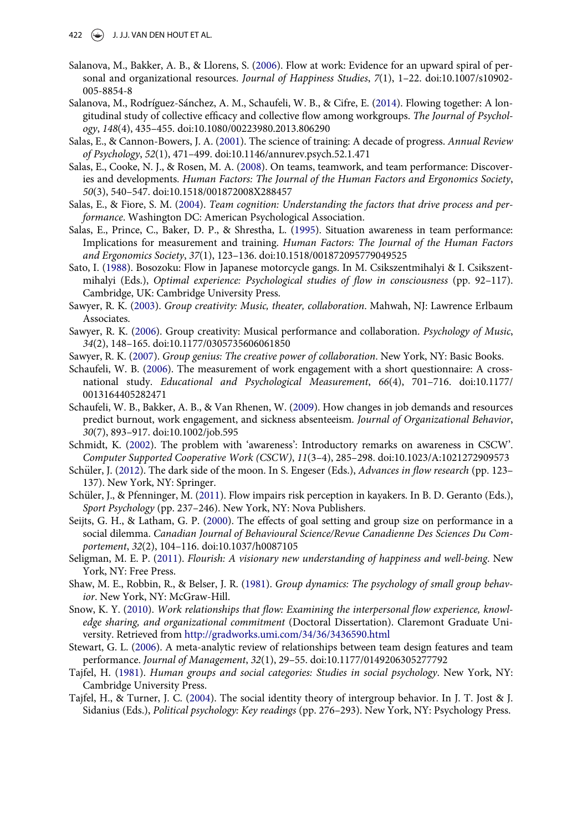- <span id="page-35-3"></span>Salanova, M., Bakker, A. B., & Llorens, S. [\(2006\)](#page-2-11). Flow at work: Evidence for an upward spiral of per-sonal and organizational resources. Journal of Happiness Studies, 7(1), 1-22. doi[:10.1007/s10902-](https://doi.org/10.1007/s10902-005-8854-8) [005-8854-8](https://doi.org/10.1007/s10902-005-8854-8)
- <span id="page-35-7"></span>Salanova, M., Rodríguez-Sánchez, A. M., Schaufeli, W. B., & Cifre, E. [\(2014\)](#page-2-12). Flowing together: A longitudinal study of collective efficacy and collective flow among workgroups. The Journal of Psychology, 148(4), 435–455. doi:[10.1080/00223980.2013.806290](https://doi.org/10.1080/00223980.2013.806290)
- Salas, E., & Cannon-Bowers, J. A. (2001). The science of training: A decade of progress. Annual Review of Psychology, 52(1), 471–499. doi[:10.1146/annurev.psych.52.1.471](https://doi.org/10.1146/annurev.psych.52.1.471)
- <span id="page-35-10"></span>Salas, E., Cooke, N. J., & Rosen, M. A. [\(2008](#page-10-4)). On teams, teamwork, and team performance: Discoveries and developments. Human Factors: The Journal of the Human Factors and Ergonomics Society, 50(3), 540–547. doi:[10.1518/001872008X288457](https://doi.org/10.1518/001872008X288457)
- <span id="page-35-12"></span>Salas, E., & Fiore, S. M. ([2004\)](#page-18-7). Team cognition: Understanding the factors that drive process and performance. Washington DC: American Psychological Association.
- <span id="page-35-13"></span>Salas, E., Prince, C., Baker, D. P., & Shrestha, L. ([1995](#page-18-8)). Situation awareness in team performance: Implications for measurement and training. Human Factors: The Journal of the Human Factors and Ergonomics Society, 37(1), 123–136. doi:[10.1518/001872095779049525](https://doi.org/10.1518/001872095779049525)
- <span id="page-35-9"></span>Sato, I. ([1988\)](#page-6-6). Bosozoku: Flow in Japanese motorcycle gangs. In M. Csikszentmihalyi & I. Csikszentmihalyi (Eds.), Optimal experience: Psychological studies of flow in consciousness (pp. 92–117). Cambridge, UK: Cambridge University Press.
- <span id="page-35-4"></span>Sawyer, R. K. [\(2003](#page-2-3)). Group creativity: Music, theater, collaboration. Mahwah, NJ: Lawrence Erlbaum Associates.
- <span id="page-35-5"></span>Sawyer, R. K. ([2006](#page-2-12)). Group creativity: Musical performance and collaboration. Psychology of Music, 34(2), 148–165. doi:[10.1177/0305735606061850](https://doi.org/10.1177/0305735606061850)
- <span id="page-35-6"></span>Sawyer, R. K. ([2007](#page-2-13)). Group genius: The creative power of collaboration. New York, NY: Basic Books.
- <span id="page-35-0"></span>Schaufeli, W. B. ([2006](#page-1-9)). The measurement of work engagement with a short questionnaire: A crossnational study. Educational and Psychological Measurement, 66(4), 701–716. doi:[10.1177/](https://doi.org/10.1177/0013164405282471) [0013164405282471](https://doi.org/10.1177/0013164405282471)
- <span id="page-35-1"></span>Schaufeli, W. B., Bakker, A. B., & Van Rhenen, W. ([2009\)](#page-1-9). How changes in job demands and resources predict burnout, work engagement, and sickness absenteeism. Journal of Organizational Behavior, 30(7), 893–917. doi:[10.1002/job.595](https://doi.org/10.1002/job.595)
- <span id="page-35-14"></span>Schmidt, K. [\(2002](#page-21-1)). The problem with 'awareness': Introductory remarks on awareness in CSCW'. Computer Supported Cooperative Work (CSCW), 11(3–4), 285–298. doi[:10.1023/A:1021272909573](https://doi.org/10.1023/A:1021272909573)
- Schüler, J. (2012). The dark side of the moon. In S. Engeser (Eds.), Advances in flow research (pp. 123– 137). New York, NY: Springer.
- Schüler, J., & Pfenninger, M. (2011). Flow impairs risk perception in kayakers. In B. D. Geranto (Eds.), Sport Psychology (pp. 237–246). New York, NY: Nova Publishers.
- <span id="page-35-11"></span>Seijts, G. H., & Latham, G. P. [\(2000](#page-17-3)). The effects of goal setting and group size on performance in a social dilemma. Canadian Journal of Behavioural Science/Revue Canadienne Des Sciences Du Comportement, 32(2), 104–116. doi:[10.1037/h0087105](https://doi.org/10.1037/h0087105)
- <span id="page-35-2"></span>Seligman, M. E. P. [\(2011](#page-2-6)). Flourish: A visionary new understanding of happiness and well-being. New York, NY: Free Press.
- Shaw, M. E., Robbin, R., & Belser, J. R. (1981). Group dynamics: The psychology of small group behavior. New York, NY: McGraw-Hill.
- <span id="page-35-8"></span>Snow, K. Y. [\(2010](#page-2-14)). Work relationships that flow: Examining the interpersonal flow experience, knowledge sharing, and organizational commitment (Doctoral Dissertation). Claremont Graduate University. Retrieved from <http://gradworks.umi.com/34/36/3436590.html>
- <span id="page-35-17"></span>Stewart, G. L. [\(2006](#page-22-2)). A meta-analytic review of relationships between team design features and team performance. Journal of Management, 32(1), 29–55. doi:[10.1177/0149206305277792](https://doi.org/10.1177/0149206305277792)
- <span id="page-35-15"></span>Tajfel, H. ([1981\)](#page-22-0). Human groups and social categories: Studies in social psychology. New York, NY: Cambridge University Press.
- <span id="page-35-16"></span>Tajfel, H., & Turner, J. C. [\(2004](#page-22-0)). The social identity theory of intergroup behavior. In J. T. Jost & J. Sidanius (Eds.), Political psychology: Key readings (pp. 276–293). New York, NY: Psychology Press.